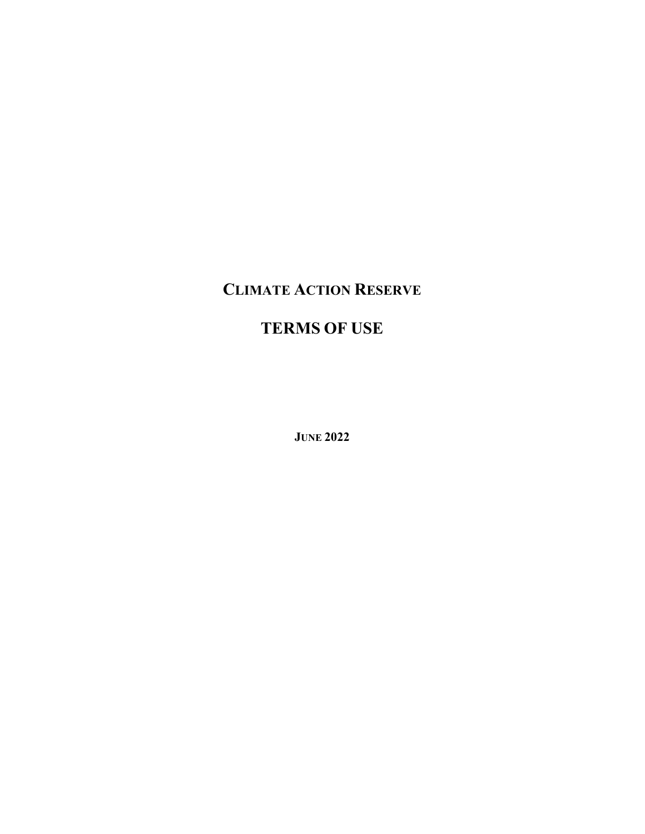# CLIMATE ACTION RESERVE

# TERMS OF USE

JUNE 2022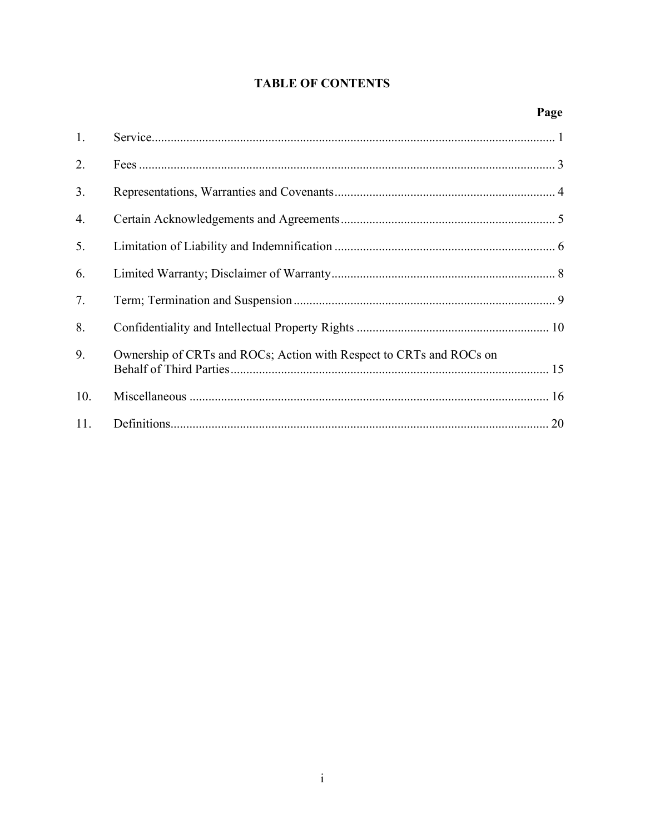### **TABLE OF CONTENTS**

### Page

| 1.  |                                                                     |
|-----|---------------------------------------------------------------------|
| 2.  |                                                                     |
| 3.  |                                                                     |
| 4.  |                                                                     |
| 5.  |                                                                     |
| 6.  |                                                                     |
| 7.  |                                                                     |
| 8.  |                                                                     |
| 9.  | Ownership of CRTs and ROCs; Action with Respect to CRTs and ROCs on |
| 10. |                                                                     |
| 11. |                                                                     |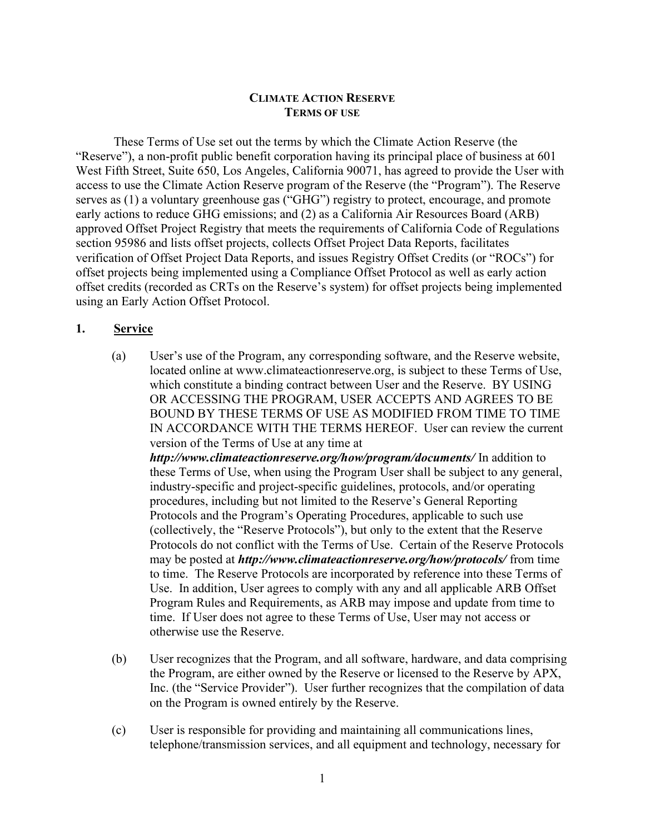#### CLIMATE ACTION RESERVE TERMS OF USE

These Terms of Use set out the terms by which the Climate Action Reserve (the "Reserve"), a non-profit public benefit corporation having its principal place of business at 601 West Fifth Street, Suite 650, Los Angeles, California 90071, has agreed to provide the User with access to use the Climate Action Reserve program of the Reserve (the "Program"). The Reserve serves as (1) a voluntary greenhouse gas ("GHG") registry to protect, encourage, and promote early actions to reduce GHG emissions; and (2) as a California Air Resources Board (ARB) approved Offset Project Registry that meets the requirements of California Code of Regulations section 95986 and lists offset projects, collects Offset Project Data Reports, facilitates verification of Offset Project Data Reports, and issues Registry Offset Credits (or "ROCs") for offset projects being implemented using a Compliance Offset Protocol as well as early action offset credits (recorded as CRTs on the Reserve's system) for offset projects being implemented using an Early Action Offset Protocol.

#### 1. Service

- (a) User's use of the Program, any corresponding software, and the Reserve website, located online at www.climateactionreserve.org, is subject to these Terms of Use, which constitute a binding contract between User and the Reserve. BY USING OR ACCESSING THE PROGRAM, USER ACCEPTS AND AGREES TO BE BOUND BY THESE TERMS OF USE AS MODIFIED FROM TIME TO TIME IN ACCORDANCE WITH THE TERMS HEREOF. User can review the current version of the Terms of Use at any time at http://www.climateactionreserve.org/how/program/documents/ In addition to these Terms of Use, when using the Program User shall be subject to any general, industry-specific and project-specific guidelines, protocols, and/or operating procedures, including but not limited to the Reserve's General Reporting Protocols and the Program's Operating Procedures, applicable to such use (collectively, the "Reserve Protocols"), but only to the extent that the Reserve Protocols do not conflict with the Terms of Use. Certain of the Reserve Protocols may be posted at *http://www.climateactionreserve.org/how/protocols/* from time to time. The Reserve Protocols are incorporated by reference into these Terms of Use. In addition, User agrees to comply with any and all applicable ARB Offset Program Rules and Requirements, as ARB may impose and update from time to time. If User does not agree to these Terms of Use, User may not access or otherwise use the Reserve.
- (b) User recognizes that the Program, and all software, hardware, and data comprising the Program, are either owned by the Reserve or licensed to the Reserve by APX, Inc. (the "Service Provider"). User further recognizes that the compilation of data on the Program is owned entirely by the Reserve.
- (c) User is responsible for providing and maintaining all communications lines, telephone/transmission services, and all equipment and technology, necessary for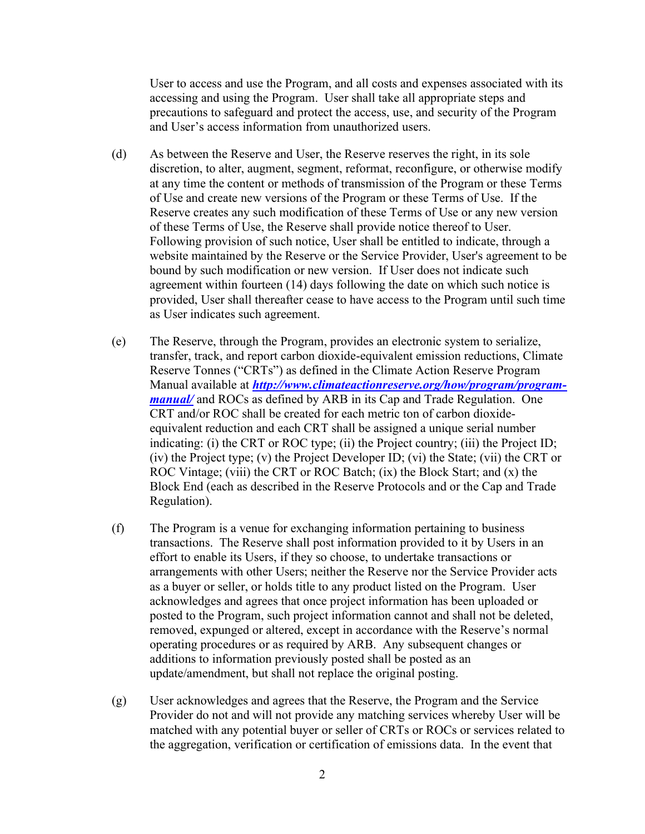User to access and use the Program, and all costs and expenses associated with its accessing and using the Program. User shall take all appropriate steps and precautions to safeguard and protect the access, use, and security of the Program and User's access information from unauthorized users.

- (d) As between the Reserve and User, the Reserve reserves the right, in its sole discretion, to alter, augment, segment, reformat, reconfigure, or otherwise modify at any time the content or methods of transmission of the Program or these Terms of Use and create new versions of the Program or these Terms of Use. If the Reserve creates any such modification of these Terms of Use or any new version of these Terms of Use, the Reserve shall provide notice thereof to User. Following provision of such notice, User shall be entitled to indicate, through a website maintained by the Reserve or the Service Provider, User's agreement to be bound by such modification or new version. If User does not indicate such agreement within fourteen (14) days following the date on which such notice is provided, User shall thereafter cease to have access to the Program until such time as User indicates such agreement.
- (e) The Reserve, through the Program, provides an electronic system to serialize, transfer, track, and report carbon dioxide-equivalent emission reductions, Climate Reserve Tonnes ("CRTs") as defined in the Climate Action Reserve Program Manual available at *http://www.climateactionreserve.org/how/program/program*manual/ and ROCs as defined by ARB in its Cap and Trade Regulation. One CRT and/or ROC shall be created for each metric ton of carbon dioxideequivalent reduction and each CRT shall be assigned a unique serial number indicating: (i) the CRT or ROC type; (ii) the Project country; (iii) the Project ID; (iv) the Project type; (v) the Project Developer ID; (vi) the State; (vii) the CRT or ROC Vintage; (viii) the CRT or ROC Batch; (ix) the Block Start; and (x) the Block End (each as described in the Reserve Protocols and or the Cap and Trade Regulation).
- (f) The Program is a venue for exchanging information pertaining to business transactions. The Reserve shall post information provided to it by Users in an effort to enable its Users, if they so choose, to undertake transactions or arrangements with other Users; neither the Reserve nor the Service Provider acts as a buyer or seller, or holds title to any product listed on the Program. User acknowledges and agrees that once project information has been uploaded or posted to the Program, such project information cannot and shall not be deleted, removed, expunged or altered, except in accordance with the Reserve's normal operating procedures or as required by ARB. Any subsequent changes or additions to information previously posted shall be posted as an update/amendment, but shall not replace the original posting.
- (g) User acknowledges and agrees that the Reserve, the Program and the Service Provider do not and will not provide any matching services whereby User will be matched with any potential buyer or seller of CRTs or ROCs or services related to the aggregation, verification or certification of emissions data. In the event that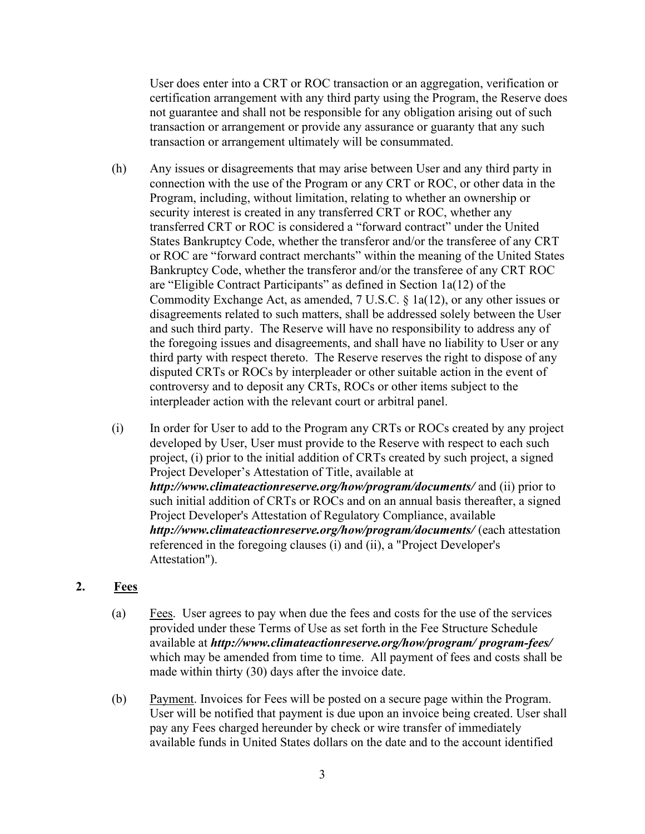User does enter into a CRT or ROC transaction or an aggregation, verification or certification arrangement with any third party using the Program, the Reserve does not guarantee and shall not be responsible for any obligation arising out of such transaction or arrangement or provide any assurance or guaranty that any such transaction or arrangement ultimately will be consummated.

- (h) Any issues or disagreements that may arise between User and any third party in connection with the use of the Program or any CRT or ROC, or other data in the Program, including, without limitation, relating to whether an ownership or security interest is created in any transferred CRT or ROC, whether any transferred CRT or ROC is considered a "forward contract" under the United States Bankruptcy Code, whether the transferor and/or the transferee of any CRT or ROC are "forward contract merchants" within the meaning of the United States Bankruptcy Code, whether the transferor and/or the transferee of any CRT ROC are "Eligible Contract Participants" as defined in Section 1a(12) of the Commodity Exchange Act, as amended, 7 U.S.C. § 1a(12), or any other issues or disagreements related to such matters, shall be addressed solely between the User and such third party. The Reserve will have no responsibility to address any of the foregoing issues and disagreements, and shall have no liability to User or any third party with respect thereto. The Reserve reserves the right to dispose of any disputed CRTs or ROCs by interpleader or other suitable action in the event of controversy and to deposit any CRTs, ROCs or other items subject to the interpleader action with the relevant court or arbitral panel.
- (i) In order for User to add to the Program any CRTs or ROCs created by any project developed by User, User must provide to the Reserve with respect to each such project, (i) prior to the initial addition of CRTs created by such project, a signed Project Developer's Attestation of Title, available at http://www.climateactionreserve.org/how/program/documents/ and (ii) prior to such initial addition of CRTs or ROCs and on an annual basis thereafter, a signed Project Developer's Attestation of Regulatory Compliance, available http://www.climateactionreserve.org/how/program/documents/ (each attestation referenced in the foregoing clauses (i) and (ii), a "Project Developer's Attestation").

#### 2.  $Fees$

- (a)  $Fees.$  User agrees to pay when due the fees and costs for the use of the services provided under these Terms of Use as set forth in the Fee Structure Schedule available at http://www.climateactionreserve.org/how/program/ program-fees/ which may be amended from time to time. All payment of fees and costs shall be made within thirty (30) days after the invoice date.
- (b) Payment. Invoices for Fees will be posted on a secure page within the Program. User will be notified that payment is due upon an invoice being created. User shall pay any Fees charged hereunder by check or wire transfer of immediately available funds in United States dollars on the date and to the account identified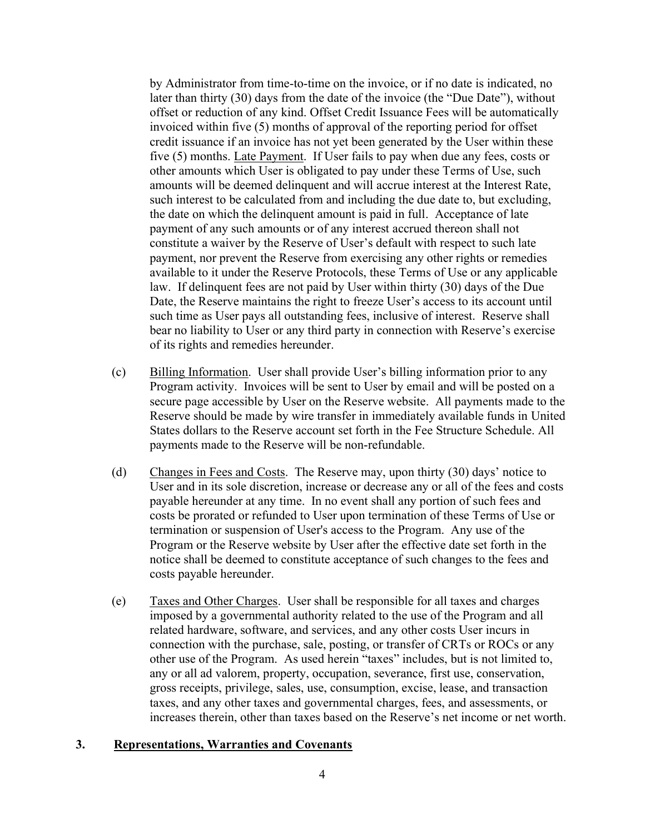by Administrator from time-to-time on the invoice, or if no date is indicated, no later than thirty (30) days from the date of the invoice (the "Due Date"), without offset or reduction of any kind. Offset Credit Issuance Fees will be automatically invoiced within five (5) months of approval of the reporting period for offset credit issuance if an invoice has not yet been generated by the User within these five (5) months. Late Payment. If User fails to pay when due any fees, costs or other amounts which User is obligated to pay under these Terms of Use, such amounts will be deemed delinquent and will accrue interest at the Interest Rate, such interest to be calculated from and including the due date to, but excluding, the date on which the delinquent amount is paid in full. Acceptance of late payment of any such amounts or of any interest accrued thereon shall not constitute a waiver by the Reserve of User's default with respect to such late payment, nor prevent the Reserve from exercising any other rights or remedies available to it under the Reserve Protocols, these Terms of Use or any applicable law. If delinquent fees are not paid by User within thirty (30) days of the Due Date, the Reserve maintains the right to freeze User's access to its account until such time as User pays all outstanding fees, inclusive of interest. Reserve shall bear no liability to User or any third party in connection with Reserve's exercise of its rights and remedies hereunder.

- (c) Billing Information. User shall provide User's billing information prior to any Program activity. Invoices will be sent to User by email and will be posted on a secure page accessible by User on the Reserve website. All payments made to the Reserve should be made by wire transfer in immediately available funds in United States dollars to the Reserve account set forth in the Fee Structure Schedule. All payments made to the Reserve will be non-refundable.
- (d) Changes in Fees and Costs. The Reserve may, upon thirty (30) days' notice to User and in its sole discretion, increase or decrease any or all of the fees and costs payable hereunder at any time. In no event shall any portion of such fees and costs be prorated or refunded to User upon termination of these Terms of Use or termination or suspension of User's access to the Program. Any use of the Program or the Reserve website by User after the effective date set forth in the notice shall be deemed to constitute acceptance of such changes to the fees and costs payable hereunder.
- (e) Taxes and Other Charges. User shall be responsible for all taxes and charges imposed by a governmental authority related to the use of the Program and all related hardware, software, and services, and any other costs User incurs in connection with the purchase, sale, posting, or transfer of CRTs or ROCs or any other use of the Program. As used herein "taxes" includes, but is not limited to, any or all ad valorem, property, occupation, severance, first use, conservation, gross receipts, privilege, sales, use, consumption, excise, lease, and transaction taxes, and any other taxes and governmental charges, fees, and assessments, or increases therein, other than taxes based on the Reserve's net income or net worth.

#### 3. Representations, Warranties and Covenants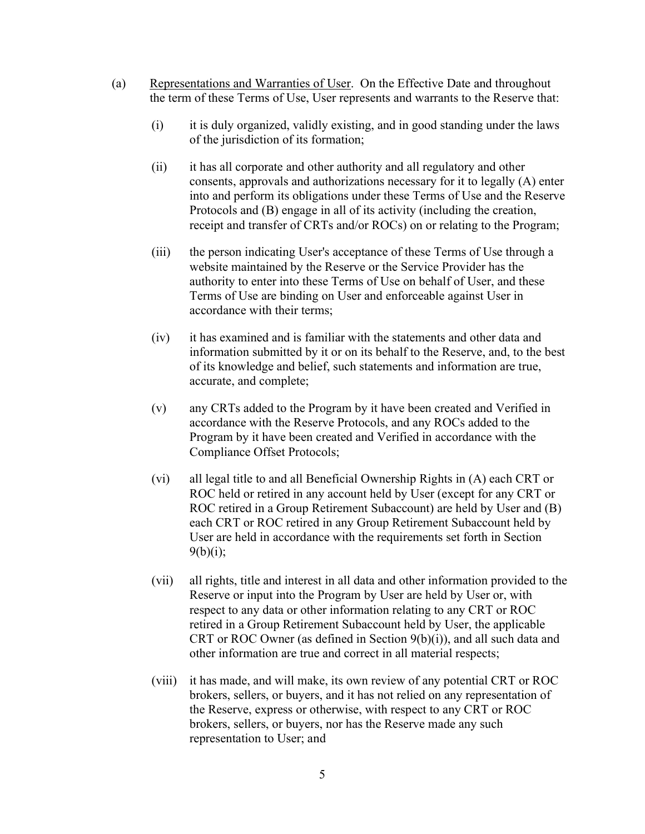- (a) Representations and Warranties of User. On the Effective Date and throughout the term of these Terms of Use, User represents and warrants to the Reserve that:
	- (i) it is duly organized, validly existing, and in good standing under the laws of the jurisdiction of its formation;
	- (ii) it has all corporate and other authority and all regulatory and other consents, approvals and authorizations necessary for it to legally (A) enter into and perform its obligations under these Terms of Use and the Reserve Protocols and (B) engage in all of its activity (including the creation, receipt and transfer of CRTs and/or ROCs) on or relating to the Program;
	- (iii) the person indicating User's acceptance of these Terms of Use through a website maintained by the Reserve or the Service Provider has the authority to enter into these Terms of Use on behalf of User, and these Terms of Use are binding on User and enforceable against User in accordance with their terms;
	- (iv) it has examined and is familiar with the statements and other data and information submitted by it or on its behalf to the Reserve, and, to the best of its knowledge and belief, such statements and information are true, accurate, and complete;
	- (v) any CRTs added to the Program by it have been created and Verified in accordance with the Reserve Protocols, and any ROCs added to the Program by it have been created and Verified in accordance with the Compliance Offset Protocols;
	- (vi) all legal title to and all Beneficial Ownership Rights in (A) each CRT or ROC held or retired in any account held by User (except for any CRT or ROC retired in a Group Retirement Subaccount) are held by User and (B) each CRT or ROC retired in any Group Retirement Subaccount held by User are held in accordance with the requirements set forth in Section  $9(b)(i);$
	- (vii) all rights, title and interest in all data and other information provided to the Reserve or input into the Program by User are held by User or, with respect to any data or other information relating to any CRT or ROC retired in a Group Retirement Subaccount held by User, the applicable CRT or ROC Owner (as defined in Section 9(b)(i)), and all such data and other information are true and correct in all material respects;
	- (viii) it has made, and will make, its own review of any potential CRT or ROC brokers, sellers, or buyers, and it has not relied on any representation of the Reserve, express or otherwise, with respect to any CRT or ROC brokers, sellers, or buyers, nor has the Reserve made any such representation to User; and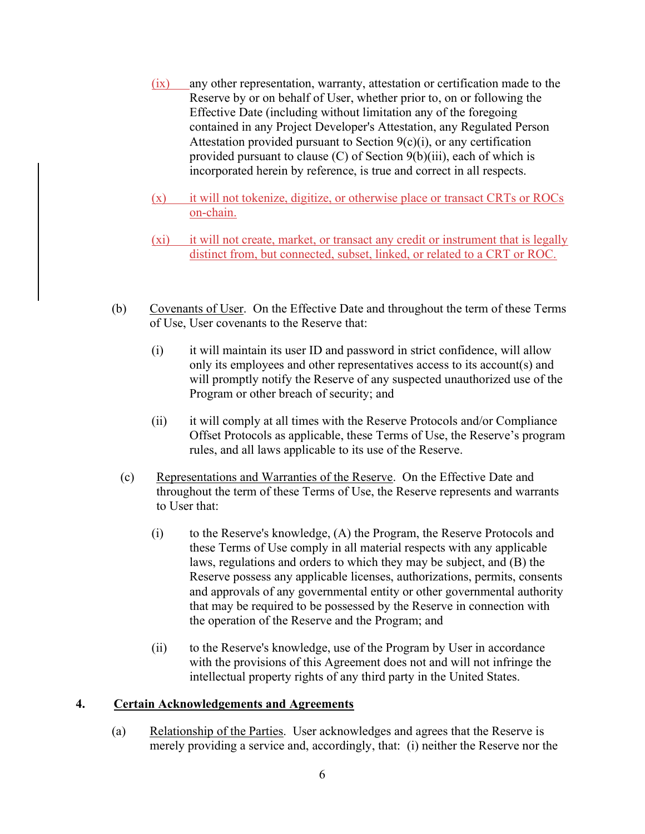- (ix) any other representation, warranty, attestation or certification made to the Reserve by or on behalf of User, whether prior to, on or following the Effective Date (including without limitation any of the foregoing contained in any Project Developer's Attestation, any Regulated Person Attestation provided pursuant to Section  $9(c)(i)$ , or any certification provided pursuant to clause (C) of Section 9(b)(iii), each of which is incorporated herein by reference, is true and correct in all respects.
- (x) it will not tokenize, digitize, or otherwise place or transact CRTs or ROCs on-chain.
- (xi) it will not create, market, or transact any credit or instrument that is legally distinct from, but connected, subset, linked, or related to a CRT or ROC.
- (b) Covenants of User. On the Effective Date and throughout the term of these Terms of Use, User covenants to the Reserve that:
	- (i) it will maintain its user ID and password in strict confidence, will allow only its employees and other representatives access to its account(s) and will promptly notify the Reserve of any suspected unauthorized use of the Program or other breach of security; and
	- (ii) it will comply at all times with the Reserve Protocols and/or Compliance Offset Protocols as applicable, these Terms of Use, the Reserve's program rules, and all laws applicable to its use of the Reserve.
	- (c) Representations and Warranties of the Reserve. On the Effective Date and throughout the term of these Terms of Use, the Reserve represents and warrants to User that:
		- (i) to the Reserve's knowledge, (A) the Program, the Reserve Protocols and these Terms of Use comply in all material respects with any applicable laws, regulations and orders to which they may be subject, and (B) the Reserve possess any applicable licenses, authorizations, permits, consents and approvals of any governmental entity or other governmental authority that may be required to be possessed by the Reserve in connection with the operation of the Reserve and the Program; and
		- (ii) to the Reserve's knowledge, use of the Program by User in accordance with the provisions of this Agreement does not and will not infringe the intellectual property rights of any third party in the United States.

#### 4. Certain Acknowledgements and Agreements

(a) Relationship of the Parties. User acknowledges and agrees that the Reserve is merely providing a service and, accordingly, that: (i) neither the Reserve nor the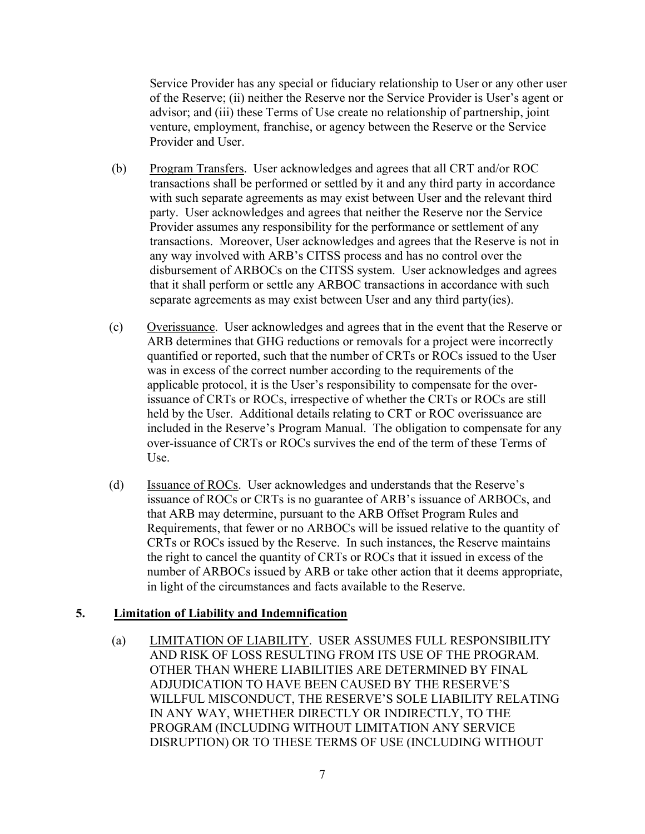Service Provider has any special or fiduciary relationship to User or any other user of the Reserve; (ii) neither the Reserve nor the Service Provider is User's agent or advisor; and (iii) these Terms of Use create no relationship of partnership, joint venture, employment, franchise, or agency between the Reserve or the Service Provider and User.

- (b) Program Transfers. User acknowledges and agrees that all CRT and/or ROC transactions shall be performed or settled by it and any third party in accordance with such separate agreements as may exist between User and the relevant third party. User acknowledges and agrees that neither the Reserve nor the Service Provider assumes any responsibility for the performance or settlement of any transactions. Moreover, User acknowledges and agrees that the Reserve is not in any way involved with ARB's CITSS process and has no control over the disbursement of ARBOCs on the CITSS system. User acknowledges and agrees that it shall perform or settle any ARBOC transactions in accordance with such separate agreements as may exist between User and any third party(ies).
- (c) Overissuance. User acknowledges and agrees that in the event that the Reserve or ARB determines that GHG reductions or removals for a project were incorrectly quantified or reported, such that the number of CRTs or ROCs issued to the User was in excess of the correct number according to the requirements of the applicable protocol, it is the User's responsibility to compensate for the overissuance of CRTs or ROCs, irrespective of whether the CRTs or ROCs are still held by the User. Additional details relating to CRT or ROC overissuance are included in the Reserve's Program Manual. The obligation to compensate for any over-issuance of CRTs or ROCs survives the end of the term of these Terms of Use.
- (d) Issuance of ROCs. User acknowledges and understands that the Reserve's issuance of ROCs or CRTs is no guarantee of ARB's issuance of ARBOCs, and that ARB may determine, pursuant to the ARB Offset Program Rules and Requirements, that fewer or no ARBOCs will be issued relative to the quantity of CRTs or ROCs issued by the Reserve. In such instances, the Reserve maintains the right to cancel the quantity of CRTs or ROCs that it issued in excess of the number of ARBOCs issued by ARB or take other action that it deems appropriate, in light of the circumstances and facts available to the Reserve.

#### 5. Limitation of Liability and Indemnification

(a) LIMITATION OF LIABILITY. USER ASSUMES FULL RESPONSIBILITY AND RISK OF LOSS RESULTING FROM ITS USE OF THE PROGRAM. OTHER THAN WHERE LIABILITIES ARE DETERMINED BY FINAL ADJUDICATION TO HAVE BEEN CAUSED BY THE RESERVE'S WILLFUL MISCONDUCT, THE RESERVE'S SOLE LIABILITY RELATING IN ANY WAY, WHETHER DIRECTLY OR INDIRECTLY, TO THE PROGRAM (INCLUDING WITHOUT LIMITATION ANY SERVICE DISRUPTION) OR TO THESE TERMS OF USE (INCLUDING WITHOUT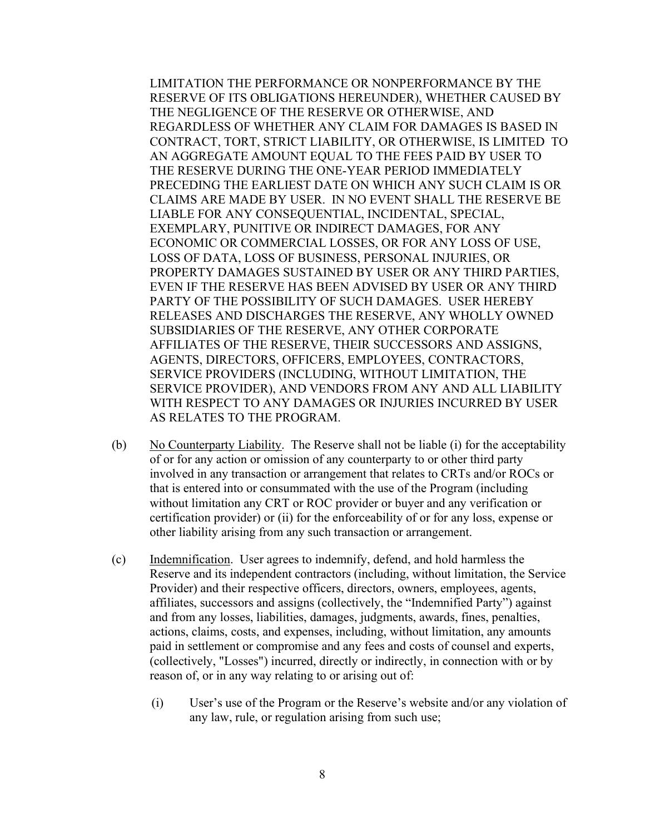LIMITATION THE PERFORMANCE OR NONPERFORMANCE BY THE RESERVE OF ITS OBLIGATIONS HEREUNDER), WHETHER CAUSED BY THE NEGLIGENCE OF THE RESERVE OR OTHERWISE, AND REGARDLESS OF WHETHER ANY CLAIM FOR DAMAGES IS BASED IN CONTRACT, TORT, STRICT LIABILITY, OR OTHERWISE, IS LIMITED TO AN AGGREGATE AMOUNT EQUAL TO THE FEES PAID BY USER TO THE RESERVE DURING THE ONE-YEAR PERIOD IMMEDIATELY PRECEDING THE EARLIEST DATE ON WHICH ANY SUCH CLAIM IS OR CLAIMS ARE MADE BY USER. IN NO EVENT SHALL THE RESERVE BE LIABLE FOR ANY CONSEQUENTIAL, INCIDENTAL, SPECIAL, EXEMPLARY, PUNITIVE OR INDIRECT DAMAGES, FOR ANY ECONOMIC OR COMMERCIAL LOSSES, OR FOR ANY LOSS OF USE, LOSS OF DATA, LOSS OF BUSINESS, PERSONAL INJURIES, OR PROPERTY DAMAGES SUSTAINED BY USER OR ANY THIRD PARTIES, EVEN IF THE RESERVE HAS BEEN ADVISED BY USER OR ANY THIRD PARTY OF THE POSSIBILITY OF SUCH DAMAGES. USER HEREBY RELEASES AND DISCHARGES THE RESERVE, ANY WHOLLY OWNED SUBSIDIARIES OF THE RESERVE, ANY OTHER CORPORATE AFFILIATES OF THE RESERVE, THEIR SUCCESSORS AND ASSIGNS, AGENTS, DIRECTORS, OFFICERS, EMPLOYEES, CONTRACTORS, SERVICE PROVIDERS (INCLUDING, WITHOUT LIMITATION, THE SERVICE PROVIDER), AND VENDORS FROM ANY AND ALL LIABILITY WITH RESPECT TO ANY DAMAGES OR INJURIES INCURRED BY USER AS RELATES TO THE PROGRAM.

- (b) No Counterparty Liability. The Reserve shall not be liable (i) for the acceptability of or for any action or omission of any counterparty to or other third party involved in any transaction or arrangement that relates to CRTs and/or ROCs or that is entered into or consummated with the use of the Program (including without limitation any CRT or ROC provider or buyer and any verification or certification provider) or (ii) for the enforceability of or for any loss, expense or other liability arising from any such transaction or arrangement.
- (c) Indemnification. User agrees to indemnify, defend, and hold harmless the Reserve and its independent contractors (including, without limitation, the Service Provider) and their respective officers, directors, owners, employees, agents, affiliates, successors and assigns (collectively, the "Indemnified Party") against and from any losses, liabilities, damages, judgments, awards, fines, penalties, actions, claims, costs, and expenses, including, without limitation, any amounts paid in settlement or compromise and any fees and costs of counsel and experts, (collectively, "Losses") incurred, directly or indirectly, in connection with or by reason of, or in any way relating to or arising out of:
	- (i) User's use of the Program or the Reserve's website and/or any violation of any law, rule, or regulation arising from such use;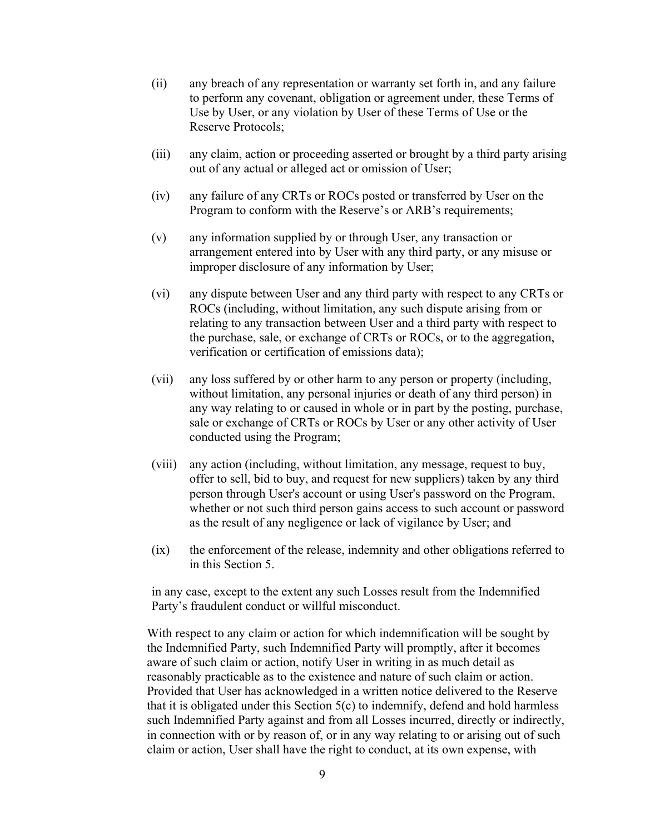- (ii) any breach of any representation or warranty set forth in, and any failure to perform any covenant, obligation or agreement under, these Terms of Use by User, or any violation by User of these Terms of Use or the Reserve Protocols;
- (iii) any claim, action or proceeding asserted or brought by a third party arising out of any actual or alleged act or omission of User;
- (iv) any failure of any CRTs or ROCs posted or transferred by User on the Program to conform with the Reserve's or ARB's requirements;
- (v) any information supplied by or through User, any transaction or arrangement entered into by User with any third party, or any misuse or improper disclosure of any information by User;
- (vi) any dispute between User and any third party with respect to any CRTs or ROCs (including, without limitation, any such dispute arising from or relating to any transaction between User and a third party with respect to the purchase, sale, or exchange of CRTs or ROCs, or to the aggregation, verification or certification of emissions data);
- (vii) any loss suffered by or other harm to any person or property (including, without limitation, any personal injuries or death of any third person) in any way relating to or caused in whole or in part by the posting, purchase, sale or exchange of CRTs or ROCs by User or any other activity of User conducted using the Program;
- (viii) any action (including, without limitation, any message, request to buy, offer to sell, bid to buy, and request for new suppliers) taken by any third person through User's account or using User's password on the Program, whether or not such third person gains access to such account or password as the result of any negligence or lack of vigilance by User; and
- (ix) the enforcement of the release, indemnity and other obligations referred to in this Section 5.

in any case, except to the extent any such Losses result from the Indemnified Party's fraudulent conduct or willful misconduct.

With respect to any claim or action for which indemnification will be sought by the Indemnified Party, such Indemnified Party will promptly, after it becomes aware of such claim or action, notify User in writing in as much detail as reasonably practicable as to the existence and nature of such claim or action. Provided that User has acknowledged in a written notice delivered to the Reserve that it is obligated under this Section 5(c) to indemnify, defend and hold harmless such Indemnified Party against and from all Losses incurred, directly or indirectly, in connection with or by reason of, or in any way relating to or arising out of such claim or action, User shall have the right to conduct, at its own expense, with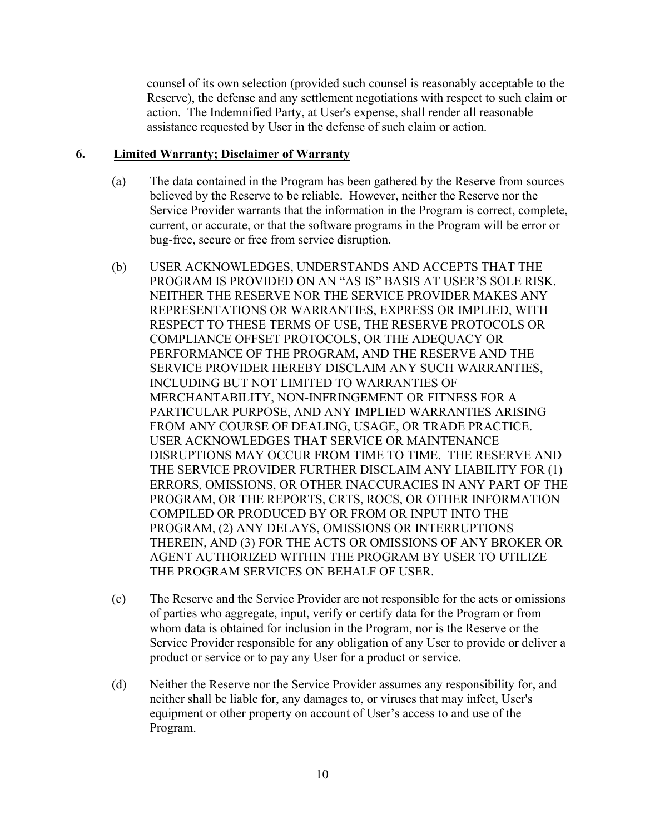counsel of its own selection (provided such counsel is reasonably acceptable to the Reserve), the defense and any settlement negotiations with respect to such claim or action. The Indemnified Party, at User's expense, shall render all reasonable assistance requested by User in the defense of such claim or action.

#### 6. Limited Warranty; Disclaimer of Warranty

- (a) The data contained in the Program has been gathered by the Reserve from sources believed by the Reserve to be reliable. However, neither the Reserve nor the Service Provider warrants that the information in the Program is correct, complete, current, or accurate, or that the software programs in the Program will be error or bug-free, secure or free from service disruption.
- (b) USER ACKNOWLEDGES, UNDERSTANDS AND ACCEPTS THAT THE PROGRAM IS PROVIDED ON AN "AS IS" BASIS AT USER'S SOLE RISK. NEITHER THE RESERVE NOR THE SERVICE PROVIDER MAKES ANY REPRESENTATIONS OR WARRANTIES, EXPRESS OR IMPLIED, WITH RESPECT TO THESE TERMS OF USE, THE RESERVE PROTOCOLS OR COMPLIANCE OFFSET PROTOCOLS, OR THE ADEQUACY OR PERFORMANCE OF THE PROGRAM, AND THE RESERVE AND THE SERVICE PROVIDER HEREBY DISCLAIM ANY SUCH WARRANTIES, INCLUDING BUT NOT LIMITED TO WARRANTIES OF MERCHANTABILITY, NON-INFRINGEMENT OR FITNESS FOR A PARTICULAR PURPOSE, AND ANY IMPLIED WARRANTIES ARISING FROM ANY COURSE OF DEALING, USAGE, OR TRADE PRACTICE. USER ACKNOWLEDGES THAT SERVICE OR MAINTENANCE DISRUPTIONS MAY OCCUR FROM TIME TO TIME. THE RESERVE AND THE SERVICE PROVIDER FURTHER DISCLAIM ANY LIABILITY FOR (1) ERRORS, OMISSIONS, OR OTHER INACCURACIES IN ANY PART OF THE PROGRAM, OR THE REPORTS, CRTS, ROCS, OR OTHER INFORMATION COMPILED OR PRODUCED BY OR FROM OR INPUT INTO THE PROGRAM, (2) ANY DELAYS, OMISSIONS OR INTERRUPTIONS THEREIN, AND (3) FOR THE ACTS OR OMISSIONS OF ANY BROKER OR AGENT AUTHORIZED WITHIN THE PROGRAM BY USER TO UTILIZE THE PROGRAM SERVICES ON BEHALF OF USER.
- (c) The Reserve and the Service Provider are not responsible for the acts or omissions of parties who aggregate, input, verify or certify data for the Program or from whom data is obtained for inclusion in the Program, nor is the Reserve or the Service Provider responsible for any obligation of any User to provide or deliver a product or service or to pay any User for a product or service.
- (d) Neither the Reserve nor the Service Provider assumes any responsibility for, and neither shall be liable for, any damages to, or viruses that may infect, User's equipment or other property on account of User's access to and use of the Program.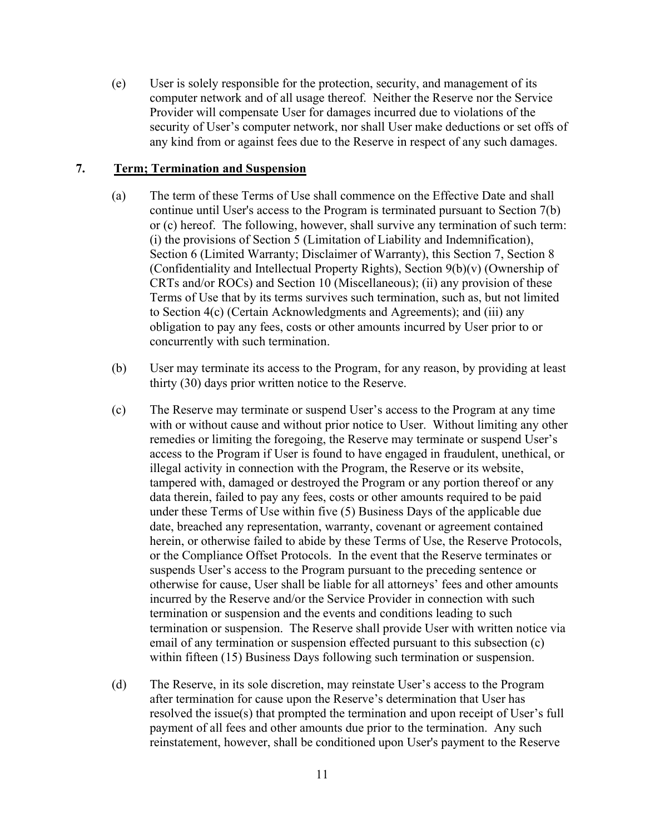(e) User is solely responsible for the protection, security, and management of its computer network and of all usage thereof. Neither the Reserve nor the Service Provider will compensate User for damages incurred due to violations of the security of User's computer network, nor shall User make deductions or set offs of any kind from or against fees due to the Reserve in respect of any such damages.

#### 7. Term; Termination and Suspension

- (a) The term of these Terms of Use shall commence on the Effective Date and shall continue until User's access to the Program is terminated pursuant to Section 7(b) or (c) hereof. The following, however, shall survive any termination of such term: (i) the provisions of Section 5 (Limitation of Liability and Indemnification), Section 6 (Limited Warranty; Disclaimer of Warranty), this Section 7, Section 8 (Confidentiality and Intellectual Property Rights), Section 9(b)(v) (Ownership of CRTs and/or ROCs) and Section 10 (Miscellaneous); (ii) any provision of these Terms of Use that by its terms survives such termination, such as, but not limited to Section 4(c) (Certain Acknowledgments and Agreements); and (iii) any obligation to pay any fees, costs or other amounts incurred by User prior to or concurrently with such termination.
- (b) User may terminate its access to the Program, for any reason, by providing at least thirty (30) days prior written notice to the Reserve.
- (c) The Reserve may terminate or suspend User's access to the Program at any time with or without cause and without prior notice to User. Without limiting any other remedies or limiting the foregoing, the Reserve may terminate or suspend User's access to the Program if User is found to have engaged in fraudulent, unethical, or illegal activity in connection with the Program, the Reserve or its website, tampered with, damaged or destroyed the Program or any portion thereof or any data therein, failed to pay any fees, costs or other amounts required to be paid under these Terms of Use within five (5) Business Days of the applicable due date, breached any representation, warranty, covenant or agreement contained herein, or otherwise failed to abide by these Terms of Use, the Reserve Protocols, or the Compliance Offset Protocols. In the event that the Reserve terminates or suspends User's access to the Program pursuant to the preceding sentence or otherwise for cause, User shall be liable for all attorneys' fees and other amounts incurred by the Reserve and/or the Service Provider in connection with such termination or suspension and the events and conditions leading to such termination or suspension. The Reserve shall provide User with written notice via email of any termination or suspension effected pursuant to this subsection (c) within fifteen (15) Business Days following such termination or suspension.
- (d) The Reserve, in its sole discretion, may reinstate User's access to the Program after termination for cause upon the Reserve's determination that User has resolved the issue(s) that prompted the termination and upon receipt of User's full payment of all fees and other amounts due prior to the termination. Any such reinstatement, however, shall be conditioned upon User's payment to the Reserve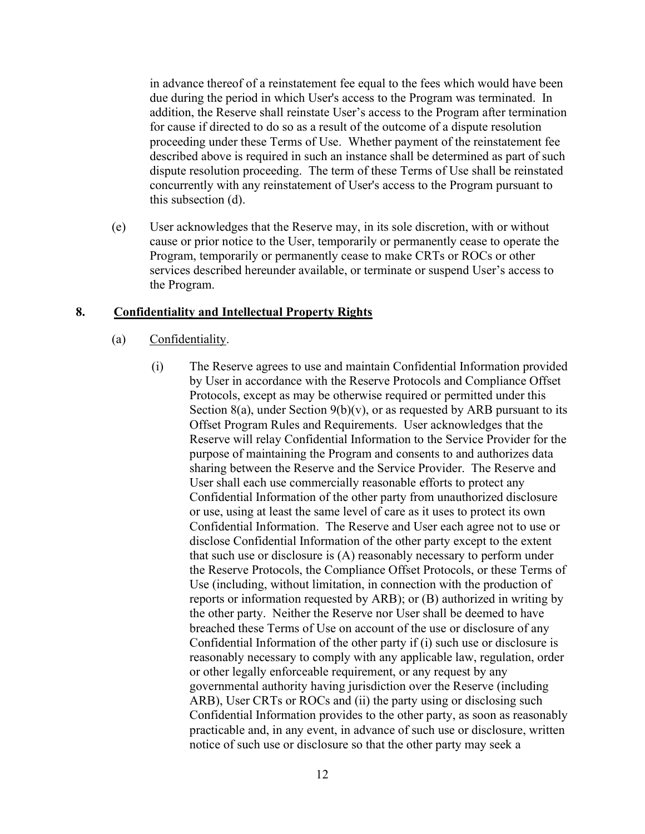in advance thereof of a reinstatement fee equal to the fees which would have been due during the period in which User's access to the Program was terminated. In addition, the Reserve shall reinstate User's access to the Program after termination for cause if directed to do so as a result of the outcome of a dispute resolution proceeding under these Terms of Use. Whether payment of the reinstatement fee described above is required in such an instance shall be determined as part of such dispute resolution proceeding. The term of these Terms of Use shall be reinstated concurrently with any reinstatement of User's access to the Program pursuant to this subsection (d).

(e) User acknowledges that the Reserve may, in its sole discretion, with or without cause or prior notice to the User, temporarily or permanently cease to operate the Program, temporarily or permanently cease to make CRTs or ROCs or other services described hereunder available, or terminate or suspend User's access to the Program.

#### 8. Confidentiality and Intellectual Property Rights

- (a) Confidentiality.
	- (i) The Reserve agrees to use and maintain Confidential Information provided by User in accordance with the Reserve Protocols and Compliance Offset Protocols, except as may be otherwise required or permitted under this Section 8(a), under Section 9(b)(v), or as requested by ARB pursuant to its Offset Program Rules and Requirements. User acknowledges that the Reserve will relay Confidential Information to the Service Provider for the purpose of maintaining the Program and consents to and authorizes data sharing between the Reserve and the Service Provider. The Reserve and User shall each use commercially reasonable efforts to protect any Confidential Information of the other party from unauthorized disclosure or use, using at least the same level of care as it uses to protect its own Confidential Information. The Reserve and User each agree not to use or disclose Confidential Information of the other party except to the extent that such use or disclosure is (A) reasonably necessary to perform under the Reserve Protocols, the Compliance Offset Protocols, or these Terms of Use (including, without limitation, in connection with the production of reports or information requested by ARB); or (B) authorized in writing by the other party. Neither the Reserve nor User shall be deemed to have breached these Terms of Use on account of the use or disclosure of any Confidential Information of the other party if (i) such use or disclosure is reasonably necessary to comply with any applicable law, regulation, order or other legally enforceable requirement, or any request by any governmental authority having jurisdiction over the Reserve (including ARB), User CRTs or ROCs and (ii) the party using or disclosing such Confidential Information provides to the other party, as soon as reasonably practicable and, in any event, in advance of such use or disclosure, written notice of such use or disclosure so that the other party may seek a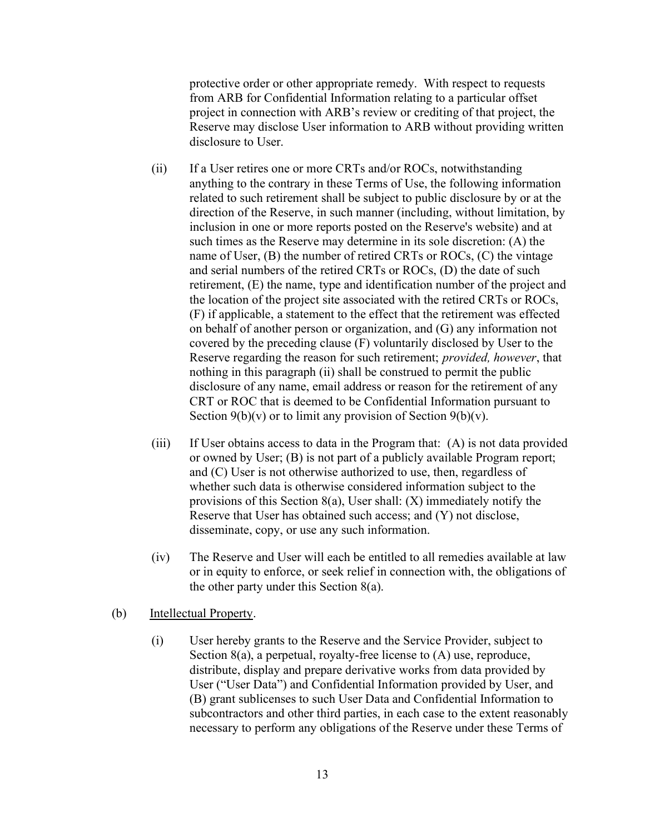protective order or other appropriate remedy. With respect to requests from ARB for Confidential Information relating to a particular offset project in connection with ARB's review or crediting of that project, the Reserve may disclose User information to ARB without providing written disclosure to User.

- (ii) If a User retires one or more CRTs and/or ROCs, notwithstanding anything to the contrary in these Terms of Use, the following information related to such retirement shall be subject to public disclosure by or at the direction of the Reserve, in such manner (including, without limitation, by inclusion in one or more reports posted on the Reserve's website) and at such times as the Reserve may determine in its sole discretion: (A) the name of User, (B) the number of retired CRTs or ROCs, (C) the vintage and serial numbers of the retired CRTs or ROCs, (D) the date of such retirement, (E) the name, type and identification number of the project and the location of the project site associated with the retired CRTs or ROCs, (F) if applicable, a statement to the effect that the retirement was effected on behalf of another person or organization, and (G) any information not covered by the preceding clause (F) voluntarily disclosed by User to the Reserve regarding the reason for such retirement; provided, however, that nothing in this paragraph (ii) shall be construed to permit the public disclosure of any name, email address or reason for the retirement of any CRT or ROC that is deemed to be Confidential Information pursuant to Section  $9(b)(v)$  or to limit any provision of Section  $9(b)(v)$ .
- (iii) If User obtains access to data in the Program that: (A) is not data provided or owned by User; (B) is not part of a publicly available Program report; and (C) User is not otherwise authorized to use, then, regardless of whether such data is otherwise considered information subject to the provisions of this Section 8(a), User shall: (X) immediately notify the Reserve that User has obtained such access; and (Y) not disclose, disseminate, copy, or use any such information.
- (iv) The Reserve and User will each be entitled to all remedies available at law or in equity to enforce, or seek relief in connection with, the obligations of the other party under this Section 8(a).

#### (b) Intellectual Property.

(i) User hereby grants to the Reserve and the Service Provider, subject to Section 8(a), a perpetual, royalty-free license to (A) use, reproduce, distribute, display and prepare derivative works from data provided by User ("User Data") and Confidential Information provided by User, and (B) grant sublicenses to such User Data and Confidential Information to subcontractors and other third parties, in each case to the extent reasonably necessary to perform any obligations of the Reserve under these Terms of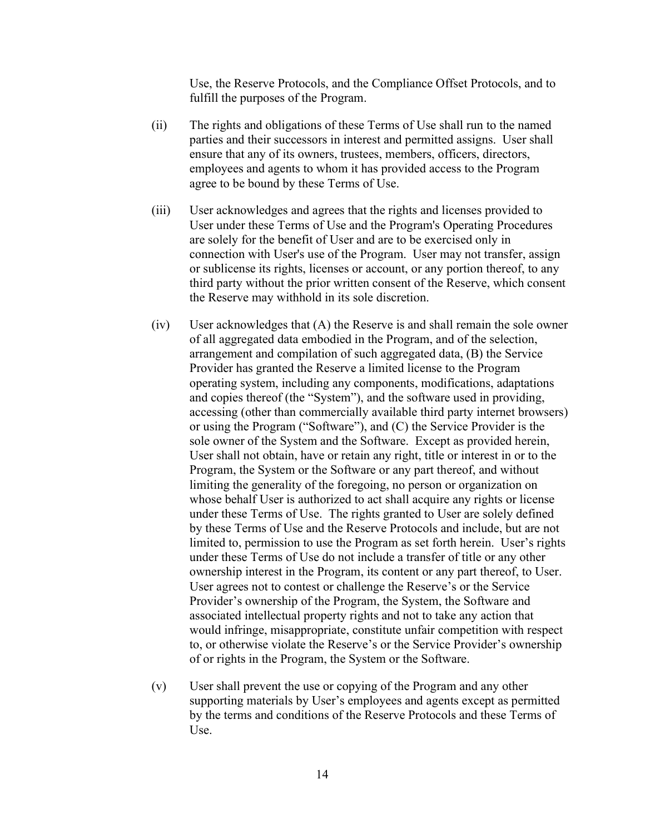Use, the Reserve Protocols, and the Compliance Offset Protocols, and to fulfill the purposes of the Program.

- (ii) The rights and obligations of these Terms of Use shall run to the named parties and their successors in interest and permitted assigns. User shall ensure that any of its owners, trustees, members, officers, directors, employees and agents to whom it has provided access to the Program agree to be bound by these Terms of Use.
- (iii) User acknowledges and agrees that the rights and licenses provided to User under these Terms of Use and the Program's Operating Procedures are solely for the benefit of User and are to be exercised only in connection with User's use of the Program. User may not transfer, assign or sublicense its rights, licenses or account, or any portion thereof, to any third party without the prior written consent of the Reserve, which consent the Reserve may withhold in its sole discretion.
- (iv) User acknowledges that (A) the Reserve is and shall remain the sole owner of all aggregated data embodied in the Program, and of the selection, arrangement and compilation of such aggregated data, (B) the Service Provider has granted the Reserve a limited license to the Program operating system, including any components, modifications, adaptations and copies thereof (the "System"), and the software used in providing, accessing (other than commercially available third party internet browsers) or using the Program ("Software"), and (C) the Service Provider is the sole owner of the System and the Software. Except as provided herein, User shall not obtain, have or retain any right, title or interest in or to the Program, the System or the Software or any part thereof, and without limiting the generality of the foregoing, no person or organization on whose behalf User is authorized to act shall acquire any rights or license under these Terms of Use. The rights granted to User are solely defined by these Terms of Use and the Reserve Protocols and include, but are not limited to, permission to use the Program as set forth herein. User's rights under these Terms of Use do not include a transfer of title or any other ownership interest in the Program, its content or any part thereof, to User. User agrees not to contest or challenge the Reserve's or the Service Provider's ownership of the Program, the System, the Software and associated intellectual property rights and not to take any action that would infringe, misappropriate, constitute unfair competition with respect to, or otherwise violate the Reserve's or the Service Provider's ownership of or rights in the Program, the System or the Software.
- (v) User shall prevent the use or copying of the Program and any other supporting materials by User's employees and agents except as permitted by the terms and conditions of the Reserve Protocols and these Terms of Use.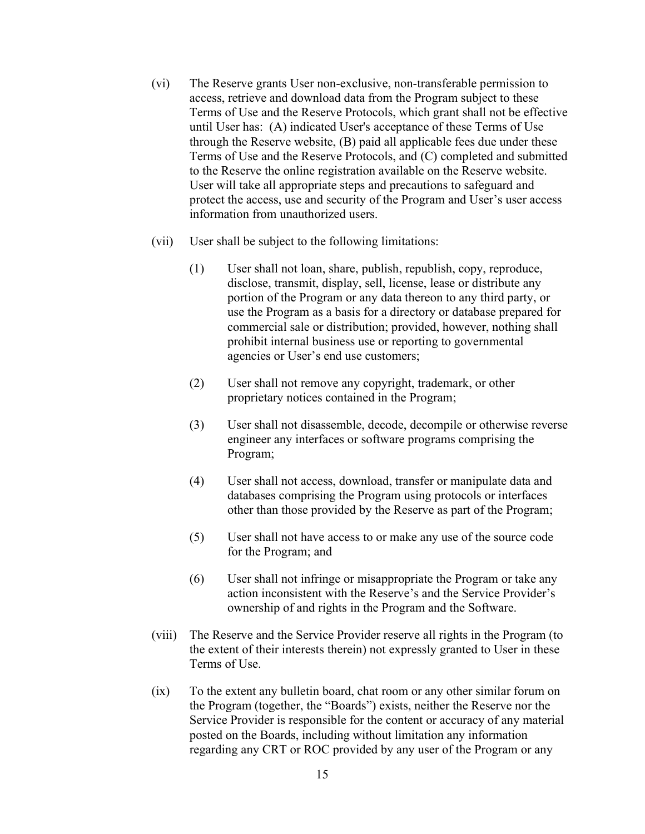- (vi) The Reserve grants User non-exclusive, non-transferable permission to access, retrieve and download data from the Program subject to these Terms of Use and the Reserve Protocols, which grant shall not be effective until User has: (A) indicated User's acceptance of these Terms of Use through the Reserve website, (B) paid all applicable fees due under these Terms of Use and the Reserve Protocols, and (C) completed and submitted to the Reserve the online registration available on the Reserve website. User will take all appropriate steps and precautions to safeguard and protect the access, use and security of the Program and User's user access information from unauthorized users.
- (vii) User shall be subject to the following limitations:
	- (1) User shall not loan, share, publish, republish, copy, reproduce, disclose, transmit, display, sell, license, lease or distribute any portion of the Program or any data thereon to any third party, or use the Program as a basis for a directory or database prepared for commercial sale or distribution; provided, however, nothing shall prohibit internal business use or reporting to governmental agencies or User's end use customers;
	- (2) User shall not remove any copyright, trademark, or other proprietary notices contained in the Program;
	- (3) User shall not disassemble, decode, decompile or otherwise reverse engineer any interfaces or software programs comprising the Program;
	- (4) User shall not access, download, transfer or manipulate data and databases comprising the Program using protocols or interfaces other than those provided by the Reserve as part of the Program;
	- (5) User shall not have access to or make any use of the source code for the Program; and
	- (6) User shall not infringe or misappropriate the Program or take any action inconsistent with the Reserve's and the Service Provider's ownership of and rights in the Program and the Software.
- (viii) The Reserve and the Service Provider reserve all rights in the Program (to the extent of their interests therein) not expressly granted to User in these Terms of Use.
- (ix) To the extent any bulletin board, chat room or any other similar forum on the Program (together, the "Boards") exists, neither the Reserve nor the Service Provider is responsible for the content or accuracy of any material posted on the Boards, including without limitation any information regarding any CRT or ROC provided by any user of the Program or any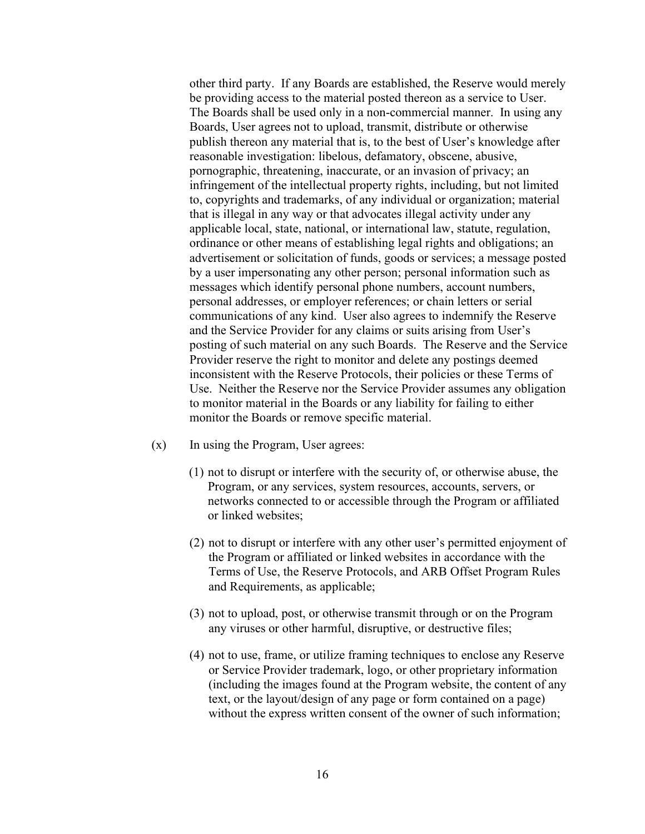other third party. If any Boards are established, the Reserve would merely be providing access to the material posted thereon as a service to User. The Boards shall be used only in a non-commercial manner. In using any Boards, User agrees not to upload, transmit, distribute or otherwise publish thereon any material that is, to the best of User's knowledge after reasonable investigation: libelous, defamatory, obscene, abusive, pornographic, threatening, inaccurate, or an invasion of privacy; an infringement of the intellectual property rights, including, but not limited to, copyrights and trademarks, of any individual or organization; material that is illegal in any way or that advocates illegal activity under any applicable local, state, national, or international law, statute, regulation, ordinance or other means of establishing legal rights and obligations; an advertisement or solicitation of funds, goods or services; a message posted by a user impersonating any other person; personal information such as messages which identify personal phone numbers, account numbers, personal addresses, or employer references; or chain letters or serial communications of any kind. User also agrees to indemnify the Reserve and the Service Provider for any claims or suits arising from User's posting of such material on any such Boards. The Reserve and the Service Provider reserve the right to monitor and delete any postings deemed inconsistent with the Reserve Protocols, their policies or these Terms of Use. Neither the Reserve nor the Service Provider assumes any obligation to monitor material in the Boards or any liability for failing to either monitor the Boards or remove specific material.

- (x) In using the Program, User agrees:
	- (1) not to disrupt or interfere with the security of, or otherwise abuse, the Program, or any services, system resources, accounts, servers, or networks connected to or accessible through the Program or affiliated or linked websites;
	- (2) not to disrupt or interfere with any other user's permitted enjoyment of the Program or affiliated or linked websites in accordance with the Terms of Use, the Reserve Protocols, and ARB Offset Program Rules and Requirements, as applicable;
	- (3) not to upload, post, or otherwise transmit through or on the Program any viruses or other harmful, disruptive, or destructive files;
	- (4) not to use, frame, or utilize framing techniques to enclose any Reserve or Service Provider trademark, logo, or other proprietary information (including the images found at the Program website, the content of any text, or the layout/design of any page or form contained on a page) without the express written consent of the owner of such information;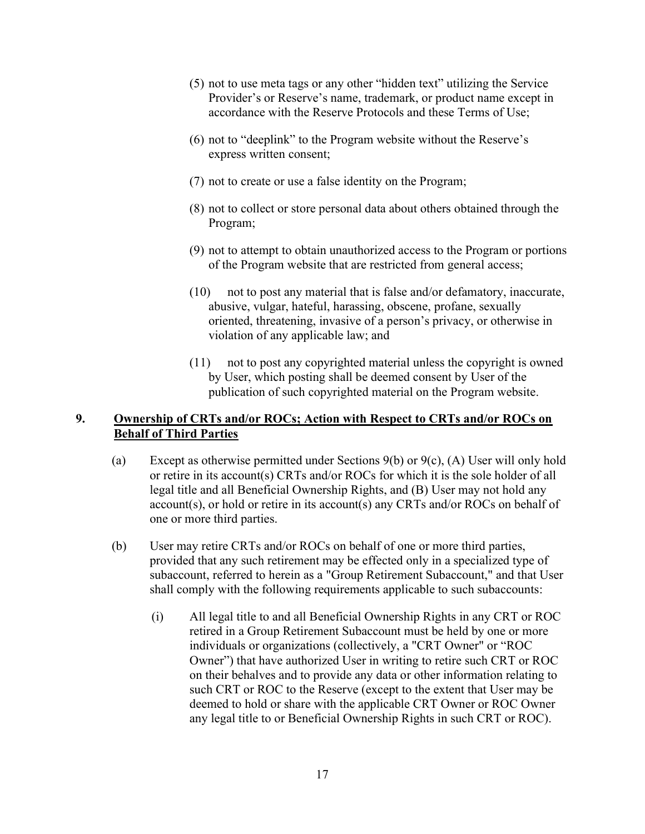- (5) not to use meta tags or any other "hidden text" utilizing the Service Provider's or Reserve's name, trademark, or product name except in accordance with the Reserve Protocols and these Terms of Use;
- (6) not to "deeplink" to the Program website without the Reserve's express written consent;
- (7) not to create or use a false identity on the Program;
- (8) not to collect or store personal data about others obtained through the Program;
- (9) not to attempt to obtain unauthorized access to the Program or portions of the Program website that are restricted from general access;
- (10) not to post any material that is false and/or defamatory, inaccurate, abusive, vulgar, hateful, harassing, obscene, profane, sexually oriented, threatening, invasive of a person's privacy, or otherwise in violation of any applicable law; and
- (11) not to post any copyrighted material unless the copyright is owned by User, which posting shall be deemed consent by User of the publication of such copyrighted material on the Program website.

#### 9. Ownership of CRTs and/or ROCs; Action with Respect to CRTs and/or ROCs on Behalf of Third Parties

- (a) Except as otherwise permitted under Sections 9(b) or 9(c), (A) User will only hold or retire in its account(s) CRTs and/or ROCs for which it is the sole holder of all legal title and all Beneficial Ownership Rights, and (B) User may not hold any account(s), or hold or retire in its account(s) any CRTs and/or ROCs on behalf of one or more third parties.
- (b) User may retire CRTs and/or ROCs on behalf of one or more third parties, provided that any such retirement may be effected only in a specialized type of subaccount, referred to herein as a "Group Retirement Subaccount," and that User shall comply with the following requirements applicable to such subaccounts:
	- (i) All legal title to and all Beneficial Ownership Rights in any CRT or ROC retired in a Group Retirement Subaccount must be held by one or more individuals or organizations (collectively, a "CRT Owner" or "ROC Owner") that have authorized User in writing to retire such CRT or ROC on their behalves and to provide any data or other information relating to such CRT or ROC to the Reserve (except to the extent that User may be deemed to hold or share with the applicable CRT Owner or ROC Owner any legal title to or Beneficial Ownership Rights in such CRT or ROC).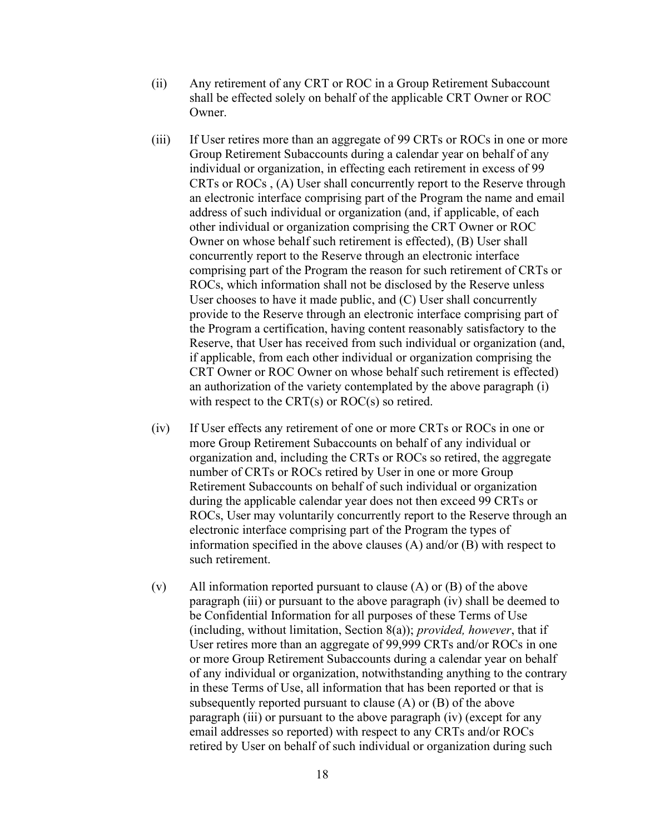- (ii) Any retirement of any CRT or ROC in a Group Retirement Subaccount shall be effected solely on behalf of the applicable CRT Owner or ROC Owner.
- (iii) If User retires more than an aggregate of 99 CRTs or ROCs in one or more Group Retirement Subaccounts during a calendar year on behalf of any individual or organization, in effecting each retirement in excess of 99 CRTs or ROCs , (A) User shall concurrently report to the Reserve through an electronic interface comprising part of the Program the name and email address of such individual or organization (and, if applicable, of each other individual or organization comprising the CRT Owner or ROC Owner on whose behalf such retirement is effected), (B) User shall concurrently report to the Reserve through an electronic interface comprising part of the Program the reason for such retirement of CRTs or ROCs, which information shall not be disclosed by the Reserve unless User chooses to have it made public, and (C) User shall concurrently provide to the Reserve through an electronic interface comprising part of the Program a certification, having content reasonably satisfactory to the Reserve, that User has received from such individual or organization (and, if applicable, from each other individual or organization comprising the CRT Owner or ROC Owner on whose behalf such retirement is effected) an authorization of the variety contemplated by the above paragraph (i) with respect to the CRT(s) or ROC(s) so retired.
- (iv) If User effects any retirement of one or more CRTs or ROCs in one or more Group Retirement Subaccounts on behalf of any individual or organization and, including the CRTs or ROCs so retired, the aggregate number of CRTs or ROCs retired by User in one or more Group Retirement Subaccounts on behalf of such individual or organization during the applicable calendar year does not then exceed 99 CRTs or ROCs, User may voluntarily concurrently report to the Reserve through an electronic interface comprising part of the Program the types of information specified in the above clauses (A) and/or (B) with respect to such retirement.
- (v) All information reported pursuant to clause  $(A)$  or  $(B)$  of the above paragraph (iii) or pursuant to the above paragraph (iv) shall be deemed to be Confidential Information for all purposes of these Terms of Use (including, without limitation, Section  $8(a)$ ); *provided, however*, that if User retires more than an aggregate of 99,999 CRTs and/or ROCs in one or more Group Retirement Subaccounts during a calendar year on behalf of any individual or organization, notwithstanding anything to the contrary in these Terms of Use, all information that has been reported or that is subsequently reported pursuant to clause (A) or (B) of the above paragraph (iii) or pursuant to the above paragraph (iv) (except for any email addresses so reported) with respect to any CRTs and/or ROCs retired by User on behalf of such individual or organization during such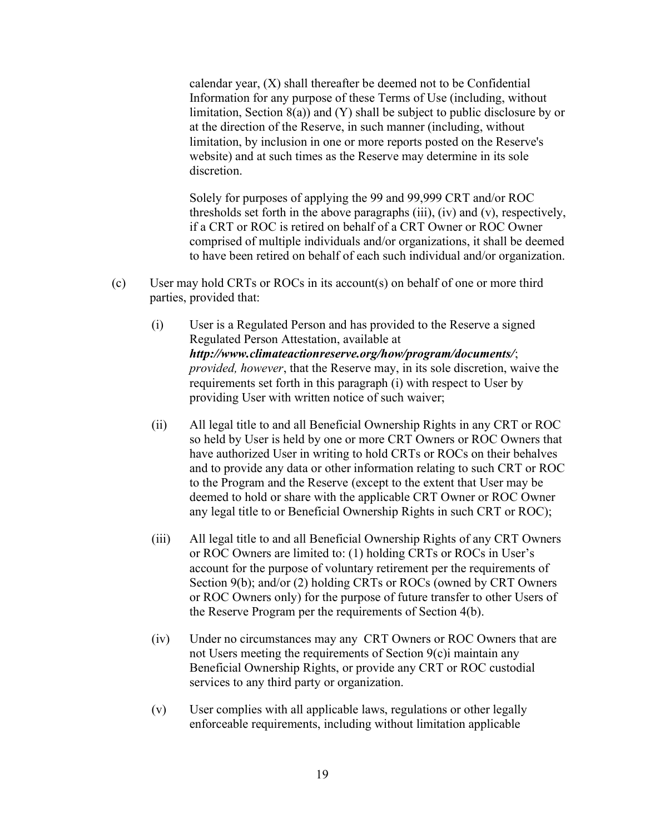calendar year, (X) shall thereafter be deemed not to be Confidential Information for any purpose of these Terms of Use (including, without limitation, Section 8(a)) and (Y) shall be subject to public disclosure by or at the direction of the Reserve, in such manner (including, without limitation, by inclusion in one or more reports posted on the Reserve's website) and at such times as the Reserve may determine in its sole discretion.

Solely for purposes of applying the 99 and 99,999 CRT and/or ROC thresholds set forth in the above paragraphs (iii), (iv) and (v), respectively, if a CRT or ROC is retired on behalf of a CRT Owner or ROC Owner comprised of multiple individuals and/or organizations, it shall be deemed to have been retired on behalf of each such individual and/or organization.

- (c) User may hold CRTs or ROCs in its account(s) on behalf of one or more third parties, provided that:
	- (i) User is a Regulated Person and has provided to the Reserve a signed Regulated Person Attestation, available at http://www.climateactionreserve.org/how/program/documents/; provided, however, that the Reserve may, in its sole discretion, waive the requirements set forth in this paragraph (i) with respect to User by providing User with written notice of such waiver;
	- (ii) All legal title to and all Beneficial Ownership Rights in any CRT or ROC so held by User is held by one or more CRT Owners or ROC Owners that have authorized User in writing to hold CRTs or ROCs on their behalves and to provide any data or other information relating to such CRT or ROC to the Program and the Reserve (except to the extent that User may be deemed to hold or share with the applicable CRT Owner or ROC Owner any legal title to or Beneficial Ownership Rights in such CRT or ROC);
	- (iii) All legal title to and all Beneficial Ownership Rights of any CRT Owners or ROC Owners are limited to: (1) holding CRTs or ROCs in User's account for the purpose of voluntary retirement per the requirements of Section 9(b); and/or (2) holding CRTs or ROCs (owned by CRT Owners or ROC Owners only) for the purpose of future transfer to other Users of the Reserve Program per the requirements of Section 4(b).
	- (iv) Under no circumstances may any CRT Owners or ROC Owners that are not Users meeting the requirements of Section 9(c)i maintain any Beneficial Ownership Rights, or provide any CRT or ROC custodial services to any third party or organization.
	- (v) User complies with all applicable laws, regulations or other legally enforceable requirements, including without limitation applicable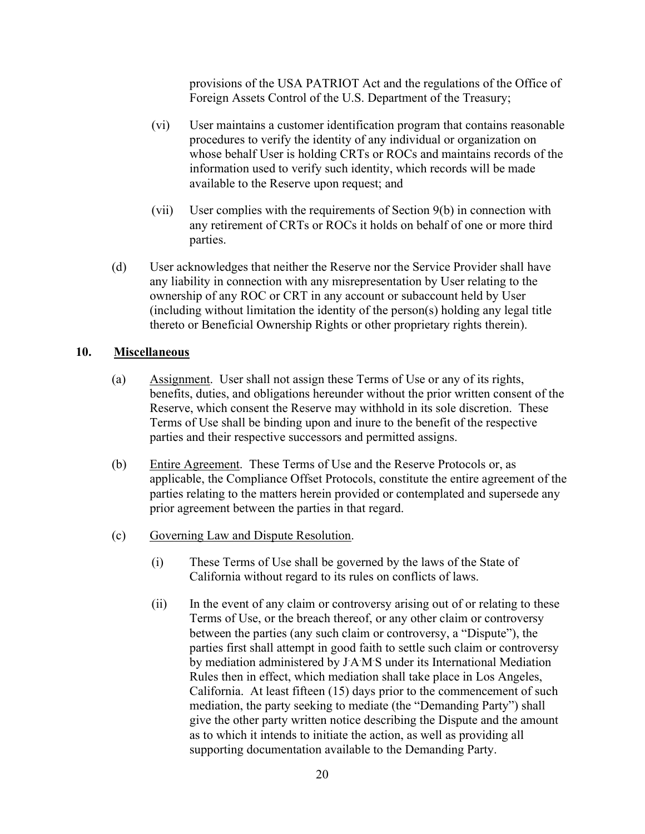provisions of the USA PATRIOT Act and the regulations of the Office of Foreign Assets Control of the U.S. Department of the Treasury;

- (vi) User maintains a customer identification program that contains reasonable procedures to verify the identity of any individual or organization on whose behalf User is holding CRTs or ROCs and maintains records of the information used to verify such identity, which records will be made available to the Reserve upon request; and
- (vii) User complies with the requirements of Section 9(b) in connection with any retirement of CRTs or ROCs it holds on behalf of one or more third parties.
- (d) User acknowledges that neither the Reserve nor the Service Provider shall have any liability in connection with any misrepresentation by User relating to the ownership of any ROC or CRT in any account or subaccount held by User  $(including without limitation the identity of the person(s) holding any legal title)$ thereto or Beneficial Ownership Rights or other proprietary rights therein).

#### 10. Miscellaneous

- (a) Assignment. User shall not assign these Terms of Use or any of its rights, benefits, duties, and obligations hereunder without the prior written consent of the Reserve, which consent the Reserve may withhold in its sole discretion. These Terms of Use shall be binding upon and inure to the benefit of the respective parties and their respective successors and permitted assigns.
- (b) Entire Agreement. These Terms of Use and the Reserve Protocols or, as applicable, the Compliance Offset Protocols, constitute the entire agreement of the parties relating to the matters herein provided or contemplated and supersede any prior agreement between the parties in that regard.
- (c) Governing Law and Dispute Resolution.
	- (i) These Terms of Use shall be governed by the laws of the State of California without regard to its rules on conflicts of laws.
	- (ii) In the event of any claim or controversy arising out of or relating to these Terms of Use, or the breach thereof, or any other claim or controversy between the parties (any such claim or controversy, a "Dispute"), the parties first shall attempt in good faith to settle such claim or controversy by mediation administered by JAMS under its International Mediation Rules then in effect, which mediation shall take place in Los Angeles, California. At least fifteen (15) days prior to the commencement of such mediation, the party seeking to mediate (the "Demanding Party") shall give the other party written notice describing the Dispute and the amount as to which it intends to initiate the action, as well as providing all supporting documentation available to the Demanding Party.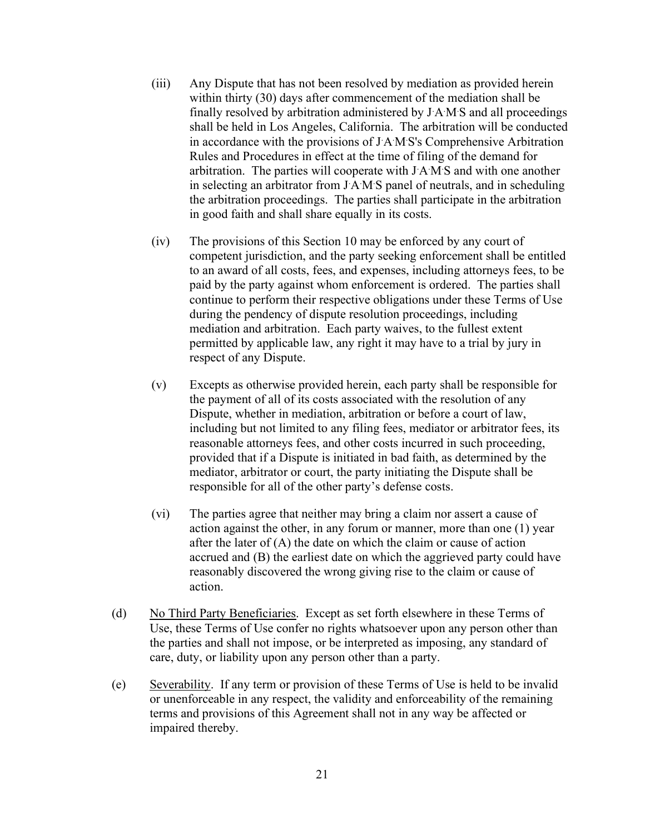- (iii) Any Dispute that has not been resolved by mediation as provided herein within thirty (30) days after commencement of the mediation shall be finally resolved by arbitration administered by JAMS and all proceedings shall be held in Los Angeles, California. The arbitration will be conducted in accordance with the provisions of J.A .M.S's Comprehensive Arbitration Rules and Procedures in effect at the time of filing of the demand for arbitration. The parties will cooperate with JAMS and with one another in selecting an arbitrator from J.A .M.S panel of neutrals, and in scheduling the arbitration proceedings. The parties shall participate in the arbitration in good faith and shall share equally in its costs.
- (iv) The provisions of this Section 10 may be enforced by any court of competent jurisdiction, and the party seeking enforcement shall be entitled to an award of all costs, fees, and expenses, including attorneys fees, to be paid by the party against whom enforcement is ordered. The parties shall continue to perform their respective obligations under these Terms of Use during the pendency of dispute resolution proceedings, including mediation and arbitration. Each party waives, to the fullest extent permitted by applicable law, any right it may have to a trial by jury in respect of any Dispute.
- (v) Excepts as otherwise provided herein, each party shall be responsible for the payment of all of its costs associated with the resolution of any Dispute, whether in mediation, arbitration or before a court of law, including but not limited to any filing fees, mediator or arbitrator fees, its reasonable attorneys fees, and other costs incurred in such proceeding, provided that if a Dispute is initiated in bad faith, as determined by the mediator, arbitrator or court, the party initiating the Dispute shall be responsible for all of the other party's defense costs.
- (vi) The parties agree that neither may bring a claim nor assert a cause of action against the other, in any forum or manner, more than one (1) year after the later of  $(A)$  the date on which the claim or cause of action accrued and (B) the earliest date on which the aggrieved party could have reasonably discovered the wrong giving rise to the claim or cause of action.
- (d) No Third Party Beneficiaries. Except as set forth elsewhere in these Terms of Use, these Terms of Use confer no rights whatsoever upon any person other than the parties and shall not impose, or be interpreted as imposing, any standard of care, duty, or liability upon any person other than a party.
- (e) Severability. If any term or provision of these Terms of Use is held to be invalid or unenforceable in any respect, the validity and enforceability of the remaining terms and provisions of this Agreement shall not in any way be affected or impaired thereby.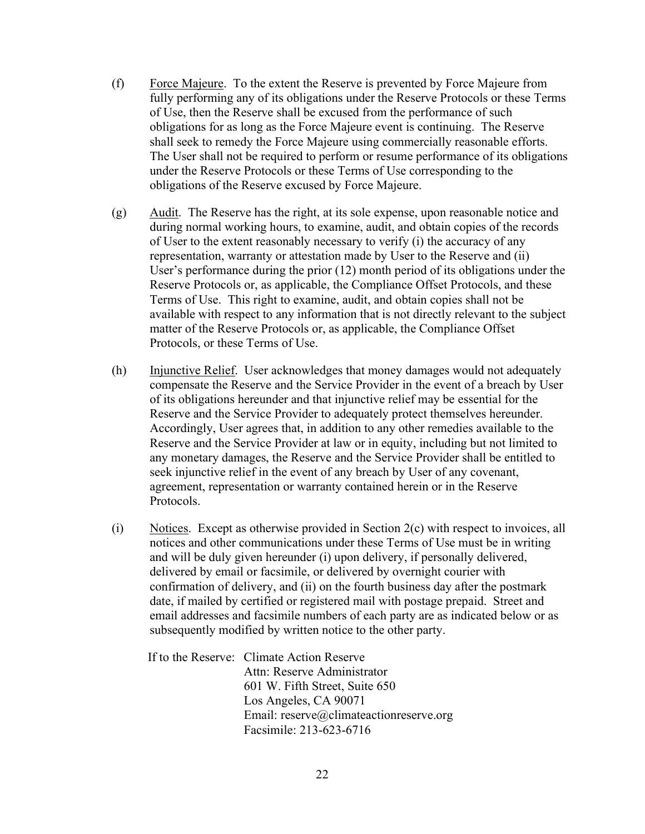- (f) Force Majeure. To the extent the Reserve is prevented by Force Majeure from fully performing any of its obligations under the Reserve Protocols or these Terms of Use, then the Reserve shall be excused from the performance of such obligations for as long as the Force Majeure event is continuing. The Reserve shall seek to remedy the Force Majeure using commercially reasonable efforts. The User shall not be required to perform or resume performance of its obligations under the Reserve Protocols or these Terms of Use corresponding to the obligations of the Reserve excused by Force Majeure.
- $(g)$  Audit. The Reserve has the right, at its sole expense, upon reasonable notice and during normal working hours, to examine, audit, and obtain copies of the records of User to the extent reasonably necessary to verify (i) the accuracy of any representation, warranty or attestation made by User to the Reserve and (ii) User's performance during the prior (12) month period of its obligations under the Reserve Protocols or, as applicable, the Compliance Offset Protocols, and these Terms of Use. This right to examine, audit, and obtain copies shall not be available with respect to any information that is not directly relevant to the subject matter of the Reserve Protocols or, as applicable, the Compliance Offset Protocols, or these Terms of Use.
- (h) Injunctive Relief. User acknowledges that money damages would not adequately compensate the Reserve and the Service Provider in the event of a breach by User of its obligations hereunder and that injunctive relief may be essential for the Reserve and the Service Provider to adequately protect themselves hereunder. Accordingly, User agrees that, in addition to any other remedies available to the Reserve and the Service Provider at law or in equity, including but not limited to any monetary damages, the Reserve and the Service Provider shall be entitled to seek injunctive relief in the event of any breach by User of any covenant, agreement, representation or warranty contained herein or in the Reserve Protocols.
- (i) Notices. Except as otherwise provided in Section 2(c) with respect to invoices, all notices and other communications under these Terms of Use must be in writing and will be duly given hereunder (i) upon delivery, if personally delivered, delivered by email or facsimile, or delivered by overnight courier with confirmation of delivery, and (ii) on the fourth business day after the postmark date, if mailed by certified or registered mail with postage prepaid. Street and email addresses and facsimile numbers of each party are as indicated below or as subsequently modified by written notice to the other party.

If to the Reserve: Climate Action Reserve Attn: Reserve Administrator 601 W. Fifth Street, Suite 650 Los Angeles, CA 90071 Email: reserve@climateactionreserve.org Facsimile: 213-623-6716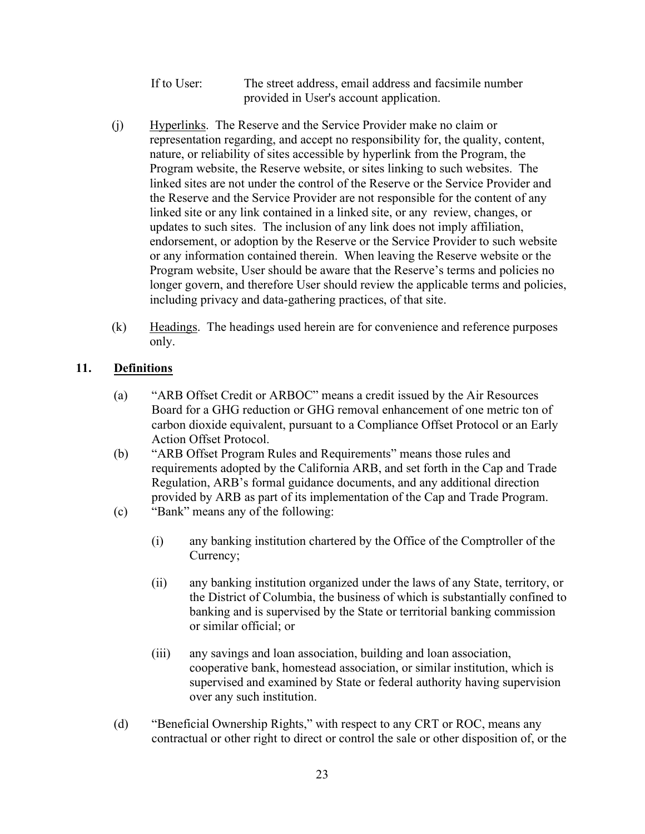If to User: The street address, email address and facsimile number provided in User's account application.

- (j) Hyperlinks. The Reserve and the Service Provider make no claim or representation regarding, and accept no responsibility for, the quality, content, nature, or reliability of sites accessible by hyperlink from the Program, the Program website, the Reserve website, or sites linking to such websites. The linked sites are not under the control of the Reserve or the Service Provider and the Reserve and the Service Provider are not responsible for the content of any linked site or any link contained in a linked site, or any review, changes, or updates to such sites. The inclusion of any link does not imply affiliation, endorsement, or adoption by the Reserve or the Service Provider to such website or any information contained therein. When leaving the Reserve website or the Program website, User should be aware that the Reserve's terms and policies no longer govern, and therefore User should review the applicable terms and policies, including privacy and data-gathering practices, of that site.
- $(k)$  Headings. The headings used herein are for convenience and reference purposes only.

#### 11. Definitions

- (a) "ARB Offset Credit or ARBOC" means a credit issued by the Air Resources Board for a GHG reduction or GHG removal enhancement of one metric ton of carbon dioxide equivalent, pursuant to a Compliance Offset Protocol or an Early Action Offset Protocol.
- (b) "ARB Offset Program Rules and Requirements" means those rules and requirements adopted by the California ARB, and set forth in the Cap and Trade Regulation, ARB's formal guidance documents, and any additional direction provided by ARB as part of its implementation of the Cap and Trade Program.
- (c) "Bank" means any of the following:
	- (i) any banking institution chartered by the Office of the Comptroller of the Currency;
	- (ii) any banking institution organized under the laws of any State, territory, or the District of Columbia, the business of which is substantially confined to banking and is supervised by the State or territorial banking commission or similar official; or
	- (iii) any savings and loan association, building and loan association, cooperative bank, homestead association, or similar institution, which is supervised and examined by State or federal authority having supervision over any such institution.
- (d) "Beneficial Ownership Rights," with respect to any CRT or ROC, means any contractual or other right to direct or control the sale or other disposition of, or the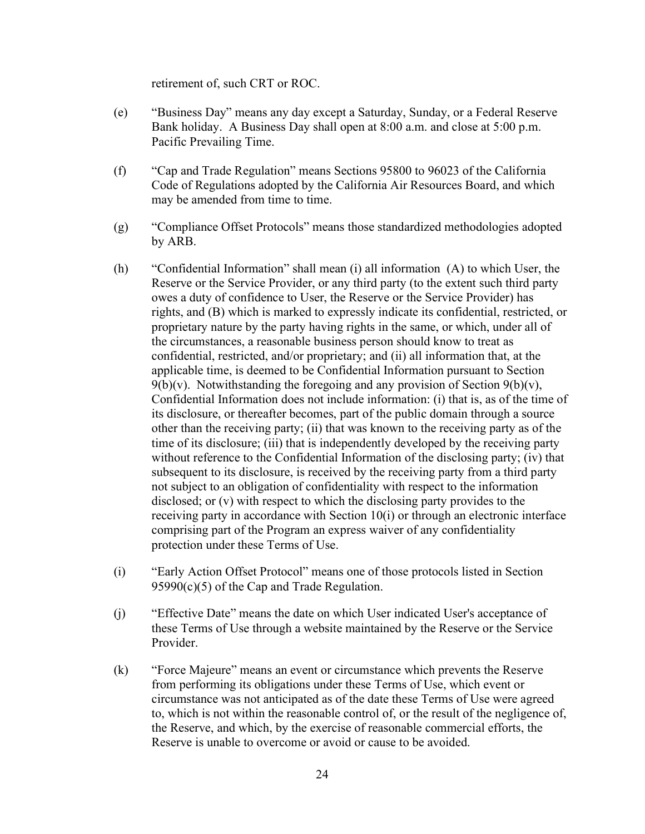retirement of, such CRT or ROC.

- (e) "Business Day" means any day except a Saturday, Sunday, or a Federal Reserve Bank holiday. A Business Day shall open at 8:00 a.m. and close at 5:00 p.m. Pacific Prevailing Time.
- (f) "Cap and Trade Regulation" means Sections 95800 to 96023 of the California Code of Regulations adopted by the California Air Resources Board, and which may be amended from time to time.
- (g) "Compliance Offset Protocols" means those standardized methodologies adopted by ARB.
- (h) "Confidential Information" shall mean (i) all information (A) to which User, the Reserve or the Service Provider, or any third party (to the extent such third party owes a duty of confidence to User, the Reserve or the Service Provider) has rights, and (B) which is marked to expressly indicate its confidential, restricted, or proprietary nature by the party having rights in the same, or which, under all of the circumstances, a reasonable business person should know to treat as confidential, restricted, and/or proprietary; and (ii) all information that, at the applicable time, is deemed to be Confidential Information pursuant to Section  $9(b)(v)$ . Notwithstanding the foregoing and any provision of Section  $9(b)(v)$ , Confidential Information does not include information: (i) that is, as of the time of its disclosure, or thereafter becomes, part of the public domain through a source other than the receiving party; (ii) that was known to the receiving party as of the time of its disclosure; (iii) that is independently developed by the receiving party without reference to the Confidential Information of the disclosing party; (iv) that subsequent to its disclosure, is received by the receiving party from a third party not subject to an obligation of confidentiality with respect to the information disclosed; or (v) with respect to which the disclosing party provides to the receiving party in accordance with Section 10(i) or through an electronic interface comprising part of the Program an express waiver of any confidentiality protection under these Terms of Use.
- (i) "Early Action Offset Protocol" means one of those protocols listed in Section 95990(c)(5) of the Cap and Trade Regulation.
- (j) "Effective Date" means the date on which User indicated User's acceptance of these Terms of Use through a website maintained by the Reserve or the Service Provider.
- (k) "Force Majeure" means an event or circumstance which prevents the Reserve from performing its obligations under these Terms of Use, which event or circumstance was not anticipated as of the date these Terms of Use were agreed to, which is not within the reasonable control of, or the result of the negligence of, the Reserve, and which, by the exercise of reasonable commercial efforts, the Reserve is unable to overcome or avoid or cause to be avoided.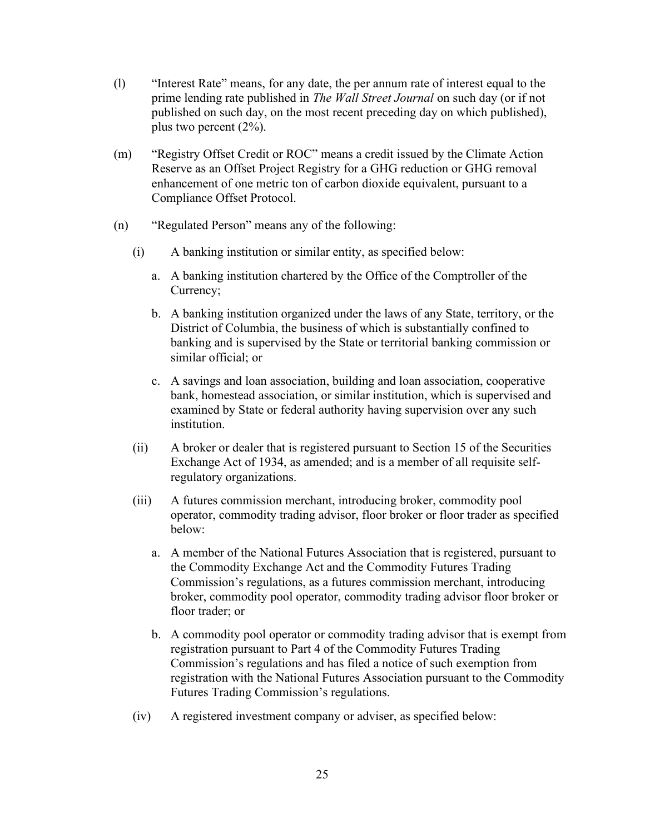- (l) "Interest Rate" means, for any date, the per annum rate of interest equal to the prime lending rate published in *The Wall Street Journal* on such day (or if not published on such day, on the most recent preceding day on which published), plus two percent (2%).
- (m) "Registry Offset Credit or ROC" means a credit issued by the Climate Action Reserve as an Offset Project Registry for a GHG reduction or GHG removal enhancement of one metric ton of carbon dioxide equivalent, pursuant to a Compliance Offset Protocol.
- (n) "Regulated Person" means any of the following:
	- (i) A banking institution or similar entity, as specified below:
		- a. A banking institution chartered by the Office of the Comptroller of the Currency;
		- b. A banking institution organized under the laws of any State, territory, or the District of Columbia, the business of which is substantially confined to banking and is supervised by the State or territorial banking commission or similar official; or
		- c. A savings and loan association, building and loan association, cooperative bank, homestead association, or similar institution, which is supervised and examined by State or federal authority having supervision over any such institution.
	- (ii) A broker or dealer that is registered pursuant to Section 15 of the Securities Exchange Act of 1934, as amended; and is a member of all requisite selfregulatory organizations.
	- (iii) A futures commission merchant, introducing broker, commodity pool operator, commodity trading advisor, floor broker or floor trader as specified below:
		- a. A member of the National Futures Association that is registered, pursuant to the Commodity Exchange Act and the Commodity Futures Trading Commission's regulations, as a futures commission merchant, introducing broker, commodity pool operator, commodity trading advisor floor broker or floor trader; or
		- b. A commodity pool operator or commodity trading advisor that is exempt from registration pursuant to Part 4 of the Commodity Futures Trading Commission's regulations and has filed a notice of such exemption from registration with the National Futures Association pursuant to the Commodity Futures Trading Commission's regulations.
	- (iv) A registered investment company or adviser, as specified below: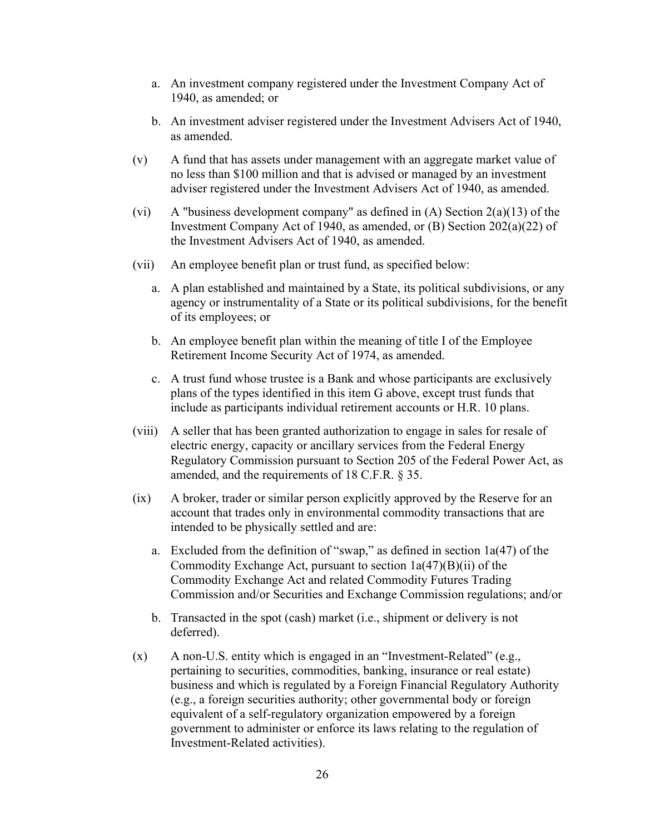- a. An investment company registered under the Investment Company Act of 1940, as amended; or
- b. An investment adviser registered under the Investment Advisers Act of 1940, as amended.
- (v) A fund that has assets under management with an aggregate market value of no less than \$100 million and that is advised or managed by an investment adviser registered under the Investment Advisers Act of 1940, as amended.
- (vi) A "business development company" as defined in  $(A)$  Section  $2(a)(13)$  of the Investment Company Act of 1940, as amended, or (B) Section 202(a)(22) of the Investment Advisers Act of 1940, as amended.
- (vii) An employee benefit plan or trust fund, as specified below:
	- a. A plan established and maintained by a State, its political subdivisions, or any agency or instrumentality of a State or its political subdivisions, for the benefit of its employees; or
	- b. An employee benefit plan within the meaning of title I of the Employee Retirement Income Security Act of 1974, as amended.
	- c. A trust fund whose trustee is a Bank and whose participants are exclusively plans of the types identified in this item G above, except trust funds that include as participants individual retirement accounts or H.R. 10 plans.
- (viii) A seller that has been granted authorization to engage in sales for resale of electric energy, capacity or ancillary services from the Federal Energy Regulatory Commission pursuant to Section 205 of the Federal Power Act, as amended, and the requirements of 18 C.F.R. § 35.
- (ix) A broker, trader or similar person explicitly approved by the Reserve for an account that trades only in environmental commodity transactions that are intended to be physically settled and are:
	- a. Excluded from the definition of "swap," as defined in section 1a(47) of the Commodity Exchange Act, pursuant to section  $1a(47)(B)(ii)$  of the Commodity Exchange Act and related Commodity Futures Trading Commission and/or Securities and Exchange Commission regulations; and/or
	- b. Transacted in the spot (cash) market (i.e., shipment or delivery is not deferred).
- (x) A non-U.S. entity which is engaged in an "Investment-Related" (e.g., pertaining to securities, commodities, banking, insurance or real estate) business and which is regulated by a Foreign Financial Regulatory Authority (e.g., a foreign securities authority; other governmental body or foreign equivalent of a self-regulatory organization empowered by a foreign government to administer or enforce its laws relating to the regulation of Investment-Related activities).